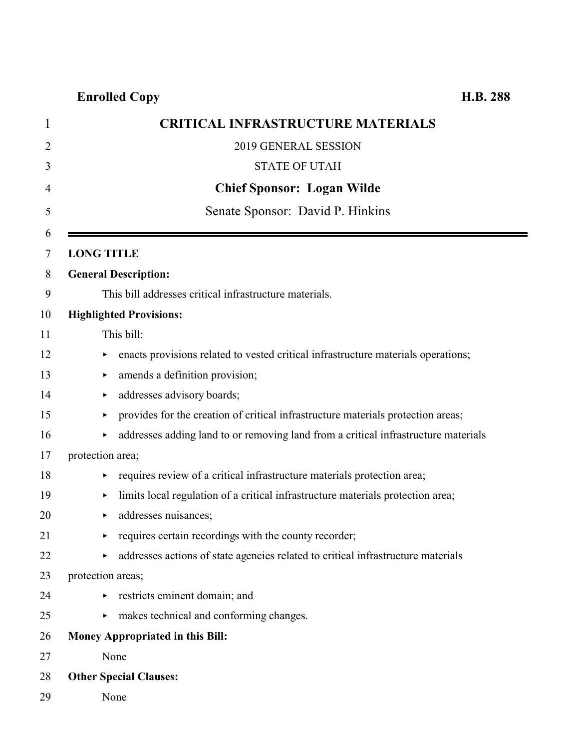| $\mathbf 1$    | <b>CRITICAL INFRASTRUCTURE MATERIALS</b>                                                |
|----------------|-----------------------------------------------------------------------------------------|
| $\overline{2}$ | 2019 GENERAL SESSION                                                                    |
| 3              | <b>STATE OF UTAH</b>                                                                    |
| $\overline{4}$ | <b>Chief Sponsor: Logan Wilde</b>                                                       |
| 5              | Senate Sponsor: David P. Hinkins                                                        |
| 6              |                                                                                         |
| 7              | <b>LONG TITLE</b>                                                                       |
| 8              | <b>General Description:</b>                                                             |
| 9              | This bill addresses critical infrastructure materials.                                  |
| 10             | <b>Highlighted Provisions:</b>                                                          |
| 11             | This bill:                                                                              |
| 12             | enacts provisions related to vested critical infrastructure materials operations;       |
| 13             | amends a definition provision;<br>▶                                                     |
| 14             | addresses advisory boards;<br>▶                                                         |
| 15             | provides for the creation of critical infrastructure materials protection areas;<br>٠   |
| 16             | addresses adding land to or removing land from a critical infrastructure materials<br>▶ |
| 17             | protection area;                                                                        |
| 18             | requires review of a critical infrastructure materials protection area;<br>٠            |
| 19             | limits local regulation of a critical infrastructure materials protection area;<br>▶    |
| 20             | addresses nuisances;<br>▶                                                               |
| 21             | requires certain recordings with the county recorder;<br>▶                              |
| 22             | addresses actions of state agencies related to critical infrastructure materials<br>Þ.  |
| 23             | protection areas;                                                                       |
| 24             | restricts eminent domain; and                                                           |
| 25             | makes technical and conforming changes.<br>▶.                                           |
| 26             | Money Appropriated in this Bill:                                                        |
| 27             | None                                                                                    |
| 28             | <b>Other Special Clauses:</b>                                                           |
| 29             | None                                                                                    |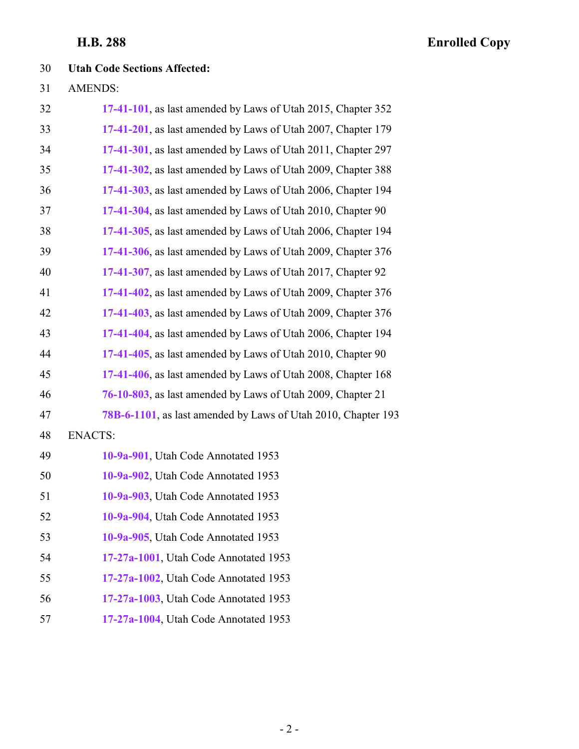### **Utah Code Sections Affected:**

AMENDS:

| 32 | 17-41-101, as last amended by Laws of Utah 2015, Chapter 352  |
|----|---------------------------------------------------------------|
| 33 | 17-41-201, as last amended by Laws of Utah 2007, Chapter 179  |
| 34 | 17-41-301, as last amended by Laws of Utah 2011, Chapter 297  |
| 35 | 17-41-302, as last amended by Laws of Utah 2009, Chapter 388  |
| 36 | 17-41-303, as last amended by Laws of Utah 2006, Chapter 194  |
| 37 | 17-41-304, as last amended by Laws of Utah 2010, Chapter 90   |
| 38 | 17-41-305, as last amended by Laws of Utah 2006, Chapter 194  |
| 39 | 17-41-306, as last amended by Laws of Utah 2009, Chapter 376  |
| 40 | 17-41-307, as last amended by Laws of Utah 2017, Chapter 92   |
| 41 | 17-41-402, as last amended by Laws of Utah 2009, Chapter 376  |
| 42 | 17-41-403, as last amended by Laws of Utah 2009, Chapter 376  |
| 43 | 17-41-404, as last amended by Laws of Utah 2006, Chapter 194  |
| 44 | 17-41-405, as last amended by Laws of Utah 2010, Chapter 90   |
| 45 | 17-41-406, as last amended by Laws of Utah 2008, Chapter 168  |
| 46 | 76-10-803, as last amended by Laws of Utah 2009, Chapter 21   |
| 47 | 78B-6-1101, as last amended by Laws of Utah 2010, Chapter 193 |
| 48 | <b>ENACTS:</b>                                                |
| 49 | 10-9a-901, Utah Code Annotated 1953                           |
| 50 | 10-9a-902, Utah Code Annotated 1953                           |
| 51 | 10-9a-903, Utah Code Annotated 1953                           |
| 52 | 10-9a-904, Utah Code Annotated 1953                           |
| 53 | 10-9a-905, Utah Code Annotated 1953                           |
| 54 | 17-27a-1001, Utah Code Annotated 1953                         |
| 55 | 17-27a-1002, Utah Code Annotated 1953                         |
| 56 | 17-27a-1003, Utah Code Annotated 1953                         |
| 57 | 17-27a-1004, Utah Code Annotated 1953                         |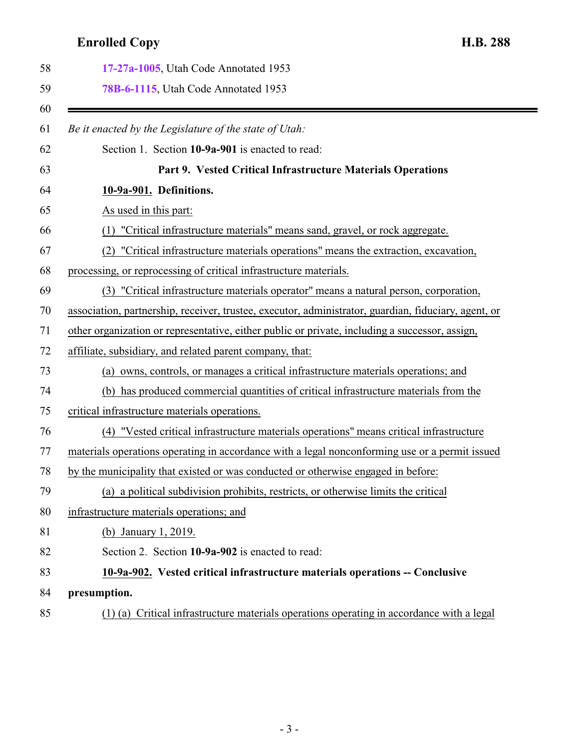<span id="page-2-1"></span><span id="page-2-0"></span>

| 17-27a-1005, Utah Code Annotated 1953                                                                |
|------------------------------------------------------------------------------------------------------|
| 78B-6-1115, Utah Code Annotated 1953                                                                 |
| Be it enacted by the Legislature of the state of Utah:                                               |
| Section 1. Section 10-9a-901 is enacted to read:                                                     |
| Part 9. Vested Critical Infrastructure Materials Operations                                          |
| 10-9a-901. Definitions.                                                                              |
| As used in this part:                                                                                |
| (1) "Critical infrastructure materials" means sand, gravel, or rock aggregate.                       |
| "Critical infrastructure materials operations" means the extraction, excavation,                     |
| processing, or reprocessing of critical infrastructure materials.                                    |
| (3) "Critical infrastructure materials operator" means a natural person, corporation,                |
| association, partnership, receiver, trustee, executor, administrator, guardian, fiduciary, agent, or |
| other organization or representative, either public or private, including a successor, assign,       |
| affiliate, subsidiary, and related parent company, that:                                             |
| (a) owns, controls, or manages a critical infrastructure materials operations; and                   |
| (b) has produced commercial quantities of critical infrastructure materials from the                 |
| critical infrastructure materials operations.                                                        |
| (4) "Vested critical infrastructure materials operations" means critical infrastructure              |
| materials operations operating in accordance with a legal nonconforming use or a permit issued       |
| by the municipality that existed or was conducted or otherwise engaged in before:                    |
| (a) a political subdivision prohibits, restricts, or otherwise limits the critical                   |
| infrastructure materials operations; and                                                             |
| (b) January 1, 2019.                                                                                 |
| Section 2. Section 10-9a-902 is enacted to read:                                                     |
| 10-9a-902. Vested critical infrastructure materials operations -- Conclusive                         |
| presumption.                                                                                         |
| (1) (a) Critical infrastructure materials operations operating in accordance with a legal            |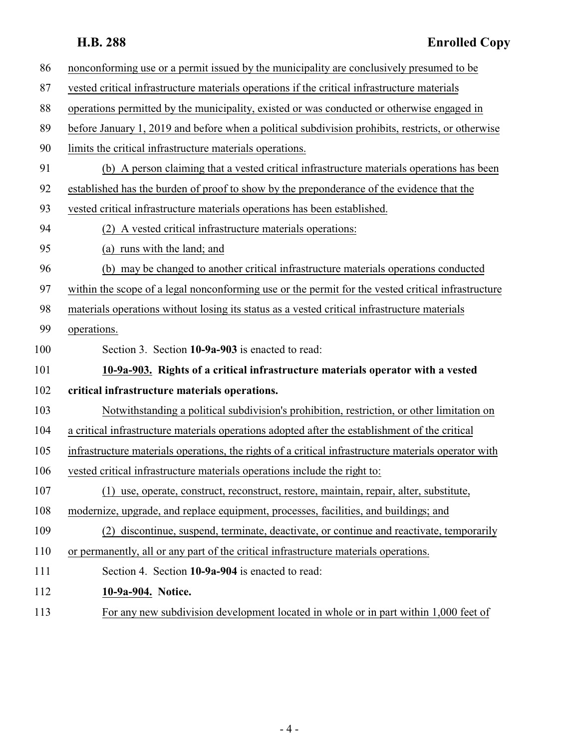| 86  | nonconforming use or a permit issued by the municipality are conclusively presumed to be             |
|-----|------------------------------------------------------------------------------------------------------|
| 87  | vested critical infrastructure materials operations if the critical infrastructure materials         |
| 88  | operations permitted by the municipality, existed or was conducted or otherwise engaged in           |
| 89  | before January 1, 2019 and before when a political subdivision prohibits, restricts, or otherwise    |
| 90  | limits the critical infrastructure materials operations.                                             |
| 91  | (b) A person claiming that a vested critical infrastructure materials operations has been            |
| 92  | established has the burden of proof to show by the preponderance of the evidence that the            |
| 93  | vested critical infrastructure materials operations has been established.                            |
| 94  | (2) A vested critical infrastructure materials operations:                                           |
| 95  | (a) runs with the land; and                                                                          |
| 96  | (b) may be changed to another critical infrastructure materials operations conducted                 |
| 97  | within the scope of a legal nonconforming use or the permit for the vested critical infrastructure   |
| 98  | materials operations without losing its status as a vested critical infrastructure materials         |
| 99  | operations.                                                                                          |
| 100 | Section 3. Section 10-9a-903 is enacted to read:                                                     |
| 101 | 10-9a-903. Rights of a critical infrastructure materials operator with a vested                      |
| 102 | critical infrastructure materials operations.                                                        |
| 103 | Notwithstanding a political subdivision's prohibition, restriction, or other limitation on           |
| 104 | a critical infrastructure materials operations adopted after the establishment of the critical       |
| 105 | infrastructure materials operations, the rights of a critical infrastructure materials operator with |
| 106 | vested critical infrastructure materials operations include the right to:                            |
| 107 | (1) use, operate, construct, reconstruct, restore, maintain, repair, alter, substitute,              |
| 108 | modernize, upgrade, and replace equipment, processes, facilities, and buildings; and                 |
| 109 | (2) discontinue, suspend, terminate, deactivate, or continue and reactivate, temporarily             |
| 110 | or permanently, all or any part of the critical infrastructure materials operations.                 |
| 111 | Section 4. Section 10-9a-904 is enacted to read:                                                     |
| 112 | 10-9a-904. Notice.                                                                                   |

<span id="page-3-1"></span><span id="page-3-0"></span>113 For any new subdivision development located in whole or in part within 1,000 feet of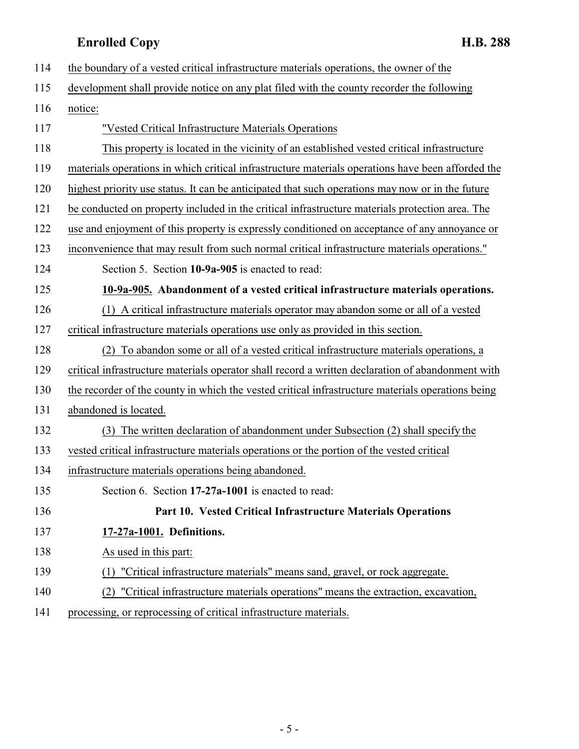<span id="page-4-1"></span><span id="page-4-0"></span>

| 114 | the boundary of a vested critical infrastructure materials operations, the owner of the           |
|-----|---------------------------------------------------------------------------------------------------|
| 115 | development shall provide notice on any plat filed with the county recorder the following         |
| 116 | notice:                                                                                           |
| 117 | "Vested Critical Infrastructure Materials Operations                                              |
| 118 | This property is located in the vicinity of an established vested critical infrastructure         |
| 119 | materials operations in which critical infrastructure materials operations have been afforded the |
| 120 | highest priority use status. It can be anticipated that such operations may now or in the future  |
| 121 | be conducted on property included in the critical infrastructure materials protection area. The   |
| 122 | use and enjoyment of this property is expressly conditioned on acceptance of any annoyance or     |
| 123 | inconvenience that may result from such normal critical infrastructure materials operations."     |
| 124 | Section 5. Section 10-9a-905 is enacted to read:                                                  |
| 125 | 10-9a-905. Abandonment of a vested critical infrastructure materials operations.                  |
| 126 | (1) A critical infrastructure materials operator may abandon some or all of a vested              |
| 127 | critical infrastructure materials operations use only as provided in this section.                |
| 128 | (2) To abandon some or all of a vested critical infrastructure materials operations, a            |
| 129 | critical infrastructure materials operator shall record a written declaration of abandonment with |
| 130 | the recorder of the county in which the vested critical infrastructure materials operations being |
| 131 | abandoned is located.                                                                             |
| 132 | (3) The written declaration of abandonment under Subsection (2) shall specify the                 |
| 133 | vested critical infrastructure materials operations or the portion of the vested critical         |
| 134 | infrastructure materials operations being abandoned.                                              |
| 135 | Section 6. Section 17-27a-1001 is enacted to read:                                                |
| 136 | Part 10. Vested Critical Infrastructure Materials Operations                                      |
| 137 | 17-27a-1001. Definitions.                                                                         |
| 138 | As used in this part:                                                                             |
| 139 | "Critical infrastructure materials" means sand, gravel, or rock aggregate.<br>(1)                 |
| 140 | (2) "Critical infrastructure materials operations" means the extraction, excavation,              |
| 141 | processing, or reprocessing of critical infrastructure materials.                                 |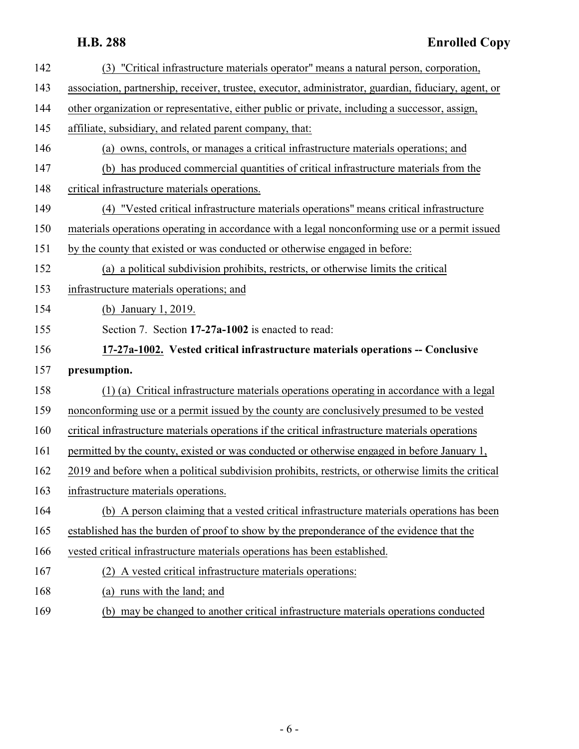<span id="page-5-0"></span>

| 142 | (3) "Critical infrastructure materials operator" means a natural person, corporation,                |
|-----|------------------------------------------------------------------------------------------------------|
| 143 | association, partnership, receiver, trustee, executor, administrator, guardian, fiduciary, agent, or |
| 144 | other organization or representative, either public or private, including a successor, assign,       |
| 145 | affiliate, subsidiary, and related parent company, that:                                             |
| 146 | (a) owns, controls, or manages a critical infrastructure materials operations; and                   |
| 147 | (b) has produced commercial quantities of critical infrastructure materials from the                 |
| 148 | critical infrastructure materials operations.                                                        |
| 149 | (4) "Vested critical infrastructure materials operations" means critical infrastructure              |
| 150 | materials operations operating in accordance with a legal nonconforming use or a permit issued       |
| 151 | by the county that existed or was conducted or otherwise engaged in before:                          |
| 152 | (a) a political subdivision prohibits, restricts, or otherwise limits the critical                   |
| 153 | infrastructure materials operations; and                                                             |
| 154 | (b) January 1, 2019.                                                                                 |
| 155 | Section 7. Section 17-27a-1002 is enacted to read:                                                   |
| 156 | 17-27a-1002. Vested critical infrastructure materials operations -- Conclusive                       |
| 157 | presumption.                                                                                         |
| 158 | (1) (a) Critical infrastructure materials operations operating in accordance with a legal            |
| 159 | nonconforming use or a permit issued by the county are conclusively presumed to be vested            |
| 160 | critical infrastructure materials operations if the critical infrastructure materials operations     |
| 161 | permitted by the county, existed or was conducted or otherwise engaged in before January 1,          |
| 162 | 2019 and before when a political subdivision prohibits, restricts, or otherwise limits the critical  |
| 163 | infrastructure materials operations.                                                                 |
| 164 | (b) A person claiming that a vested critical infrastructure materials operations has been            |
| 165 | established has the burden of proof to show by the preponderance of the evidence that the            |
| 166 | vested critical infrastructure materials operations has been established.                            |
| 167 | (2) A vested critical infrastructure materials operations:                                           |
|     |                                                                                                      |

(b) may be changed to another critical infrastructure materials operations conducted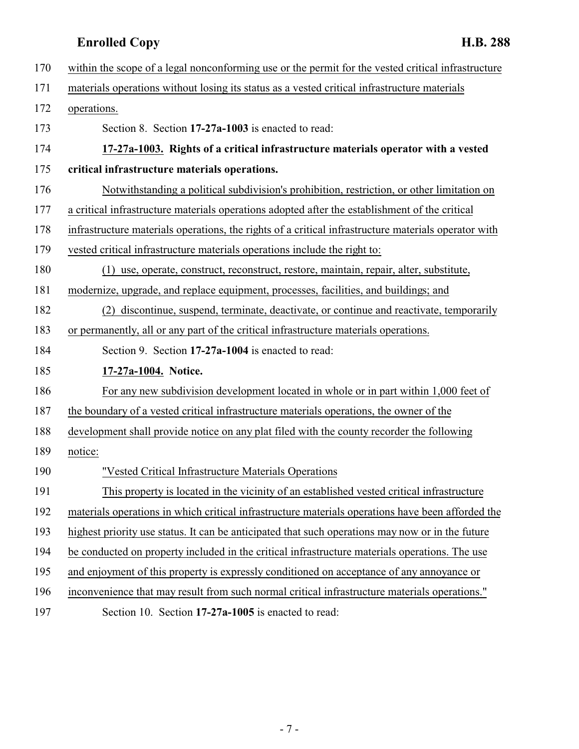<span id="page-6-2"></span><span id="page-6-1"></span><span id="page-6-0"></span>

| 170 | within the scope of a legal nonconforming use or the permit for the vested critical infrastructure   |
|-----|------------------------------------------------------------------------------------------------------|
| 171 | materials operations without losing its status as a vested critical infrastructure materials         |
| 172 | operations.                                                                                          |
| 173 | Section 8. Section 17-27a-1003 is enacted to read:                                                   |
| 174 | 17-27a-1003. Rights of a critical infrastructure materials operator with a vested                    |
| 175 | critical infrastructure materials operations.                                                        |
| 176 | Notwithstanding a political subdivision's prohibition, restriction, or other limitation on           |
| 177 | a critical infrastructure materials operations adopted after the establishment of the critical       |
| 178 | infrastructure materials operations, the rights of a critical infrastructure materials operator with |
| 179 | vested critical infrastructure materials operations include the right to:                            |
| 180 | use, operate, construct, reconstruct, restore, maintain, repair, alter, substitute,<br>(1)           |
| 181 | modernize, upgrade, and replace equipment, processes, facilities, and buildings; and                 |
| 182 | (2) discontinue, suspend, terminate, deactivate, or continue and reactivate, temporarily             |
| 183 | or permanently, all or any part of the critical infrastructure materials operations.                 |
| 184 | Section 9. Section 17-27a-1004 is enacted to read:                                                   |
| 185 | 17-27a-1004. Notice.                                                                                 |
| 186 | For any new subdivision development located in whole or in part within 1,000 feet of                 |
| 187 | the boundary of a vested critical infrastructure materials operations, the owner of the              |
| 188 | development shall provide notice on any plat filed with the county recorder the following            |
| 189 | notice:                                                                                              |
| 190 | "Vested Critical Infrastructure Materials Operations                                                 |
| 191 | This property is located in the vicinity of an established vested critical infrastructure            |
| 192 | materials operations in which critical infrastructure materials operations have been afforded the    |
| 193 | highest priority use status. It can be anticipated that such operations may now or in the future     |
| 194 | be conducted on property included in the critical infrastructure materials operations. The use       |
| 195 | and enjoyment of this property is expressly conditioned on acceptance of any annoyance or            |
| 196 | inconvenience that may result from such normal critical infrastructure materials operations."        |
| 197 | Section 10. Section 17-27a-1005 is enacted to read:                                                  |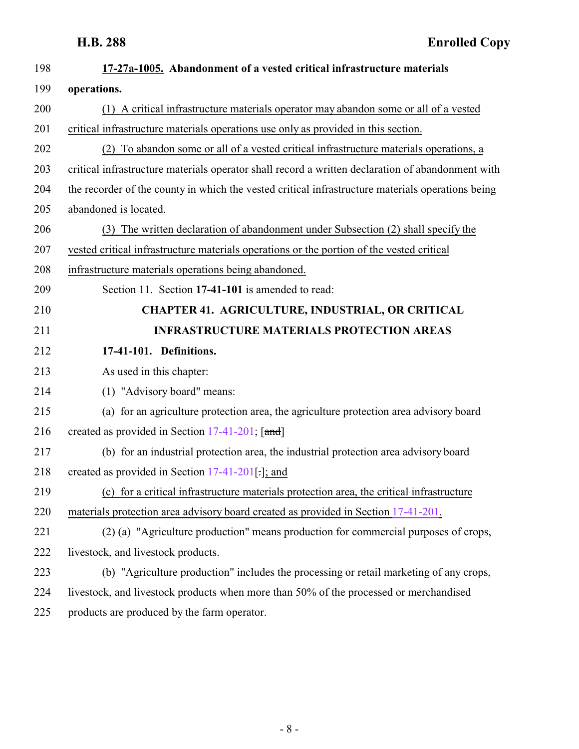<span id="page-7-0"></span>

| 198 | 17-27a-1005. Abandonment of a vested critical infrastructure materials                            |
|-----|---------------------------------------------------------------------------------------------------|
| 199 | operations.                                                                                       |
| 200 | (1) A critical infrastructure materials operator may abandon some or all of a vested              |
| 201 | critical infrastructure materials operations use only as provided in this section.                |
| 202 | (2) To abandon some or all of a vested critical infrastructure materials operations, a            |
| 203 | critical infrastructure materials operator shall record a written declaration of abandonment with |
| 204 | the recorder of the county in which the vested critical infrastructure materials operations being |
| 205 | abandoned is located.                                                                             |
| 206 | (3) The written declaration of abandonment under Subsection (2) shall specify the                 |
| 207 | vested critical infrastructure materials operations or the portion of the vested critical         |
| 208 | infrastructure materials operations being abandoned.                                              |
| 209 | Section 11. Section 17-41-101 is amended to read:                                                 |
| 210 | <b>CHAPTER 41. AGRICULTURE, INDUSTRIAL, OR CRITICAL</b>                                           |
| 211 | <b>INFRASTRUCTURE MATERIALS PROTECTION AREAS</b>                                                  |
| 212 | 17-41-101. Definitions.                                                                           |
| 213 | As used in this chapter:                                                                          |
| 214 | (1) "Advisory board" means:                                                                       |
| 215 | (a) for an agriculture protection area, the agriculture protection area advisory board            |
| 216 | created as provided in Section 17-41-201; [and]                                                   |
| 217 | (b) for an industrial protection area, the industrial protection area advisory board              |
| 218 | created as provided in Section $17-41-201$ . and                                                  |
| 219 | (c) for a critical infrastructure materials protection area, the critical infrastructure          |
| 220 | materials protection area advisory board created as provided in Section 17-41-201.                |
| 221 | (2) (a) "Agriculture production" means production for commercial purposes of crops,               |
| 222 | livestock, and livestock products.                                                                |
| 223 | (b) "Agriculture production" includes the processing or retail marketing of any crops,            |
| 224 | livestock, and livestock products when more than 50% of the processed or merchandised             |
| 225 | products are produced by the farm operator.                                                       |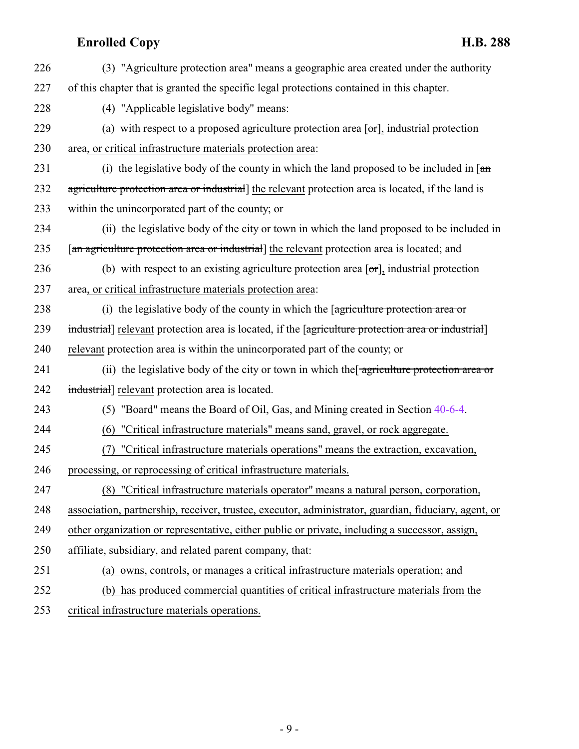| 226           | (3) "Agriculture protection area" means a geographic area created under the authority                               |
|---------------|---------------------------------------------------------------------------------------------------------------------|
| 227           | of this chapter that is granted the specific legal protections contained in this chapter.                           |
| 228           | (4) "Applicable legislative body" means:                                                                            |
| 229           | (a) with respect to a proposed agriculture protection area $[\sigma r]$ , industrial protection                     |
| 230           | area, or critical infrastructure materials protection area:                                                         |
| 231           | (i) the legislative body of the county in which the land proposed to be included in $\lceil \frac{a_n}{b_n} \rceil$ |
| 232           | agriculture protection area or industrial] the relevant protection area is located, if the land is                  |
| 233           | within the unincorporated part of the county; or                                                                    |
| 234           | (ii) the legislative body of the city or town in which the land proposed to be included in                          |
| 235           | [an agriculture protection area or industrial] the relevant protection area is located; and                         |
| 236           | (b) with respect to an existing agriculture protection area $[\sigma r]$ , industrial protection                    |
| 237           | area, or critical infrastructure materials protection area:                                                         |
| 238           | (i) the legislative body of the county in which the $\sqrt{q}$ are protection area or                               |
| 239           | industrial relevant protection area is located, if the [agriculture protection area or industrial]                  |
| 240           | relevant protection area is within the unincorporated part of the county; or                                        |
| 241           | (ii) the legislative body of the city or town in which the agriculture protection area or                           |
| 242           | industrial] relevant protection area is located.                                                                    |
| 243           | (5) "Board" means the Board of Oil, Gas, and Mining created in Section 40-6-4.                                      |
| 244           | (6) "Critical infrastructure materials" means sand, gravel, or rock aggregate.                                      |
| 245           | "Critical infrastructure materials operations" means the extraction, excavation,                                    |
| 246           | processing, or reprocessing of critical infrastructure materials.                                                   |
| 247           | (8) "Critical infrastructure materials operator" means a natural person, corporation,                               |
| 248           | association, partnership, receiver, trustee, executor, administrator, guardian, fiduciary, agent, or                |
| 249           | other organization or representative, either public or private, including a successor, assign,                      |
| 250           | affiliate, subsidiary, and related parent company, that:                                                            |
| 251           | (a) owns, controls, or manages a critical infrastructure materials operation; and                                   |
| 252           | (b) has produced commercial quantities of critical infrastructure materials from the                                |
| $\cap$ $\cap$ |                                                                                                                     |

253 critical infrastructure materials operations.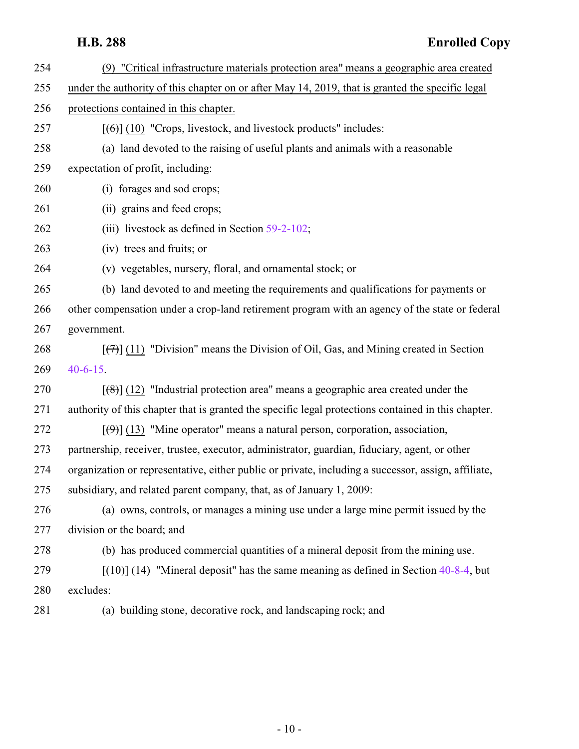| 254 | (9) "Critical infrastructure materials protection area" means a geographic area created                           |
|-----|-------------------------------------------------------------------------------------------------------------------|
| 255 | under the authority of this chapter on or after May 14, 2019, that is granted the specific legal                  |
| 256 | protections contained in this chapter.                                                                            |
| 257 | $[\textbf{6}\textbf{)}]$ (10) "Crops, livestock, and livestock products" includes:                                |
| 258 | (a) land devoted to the raising of useful plants and animals with a reasonable                                    |
| 259 | expectation of profit, including:                                                                                 |
| 260 | (i) forages and sod crops;                                                                                        |
| 261 | (ii) grains and feed crops;                                                                                       |
| 262 | (iii) livestock as defined in Section $59-2-102$ ;                                                                |
| 263 | (iv) trees and fruits; or                                                                                         |
| 264 | (v) vegetables, nursery, floral, and ornamental stock; or                                                         |
| 265 | (b) land devoted to and meeting the requirements and qualifications for payments or                               |
| 266 | other compensation under a crop-land retirement program with an agency of the state or federal                    |
| 267 | government.                                                                                                       |
| 268 | $[\langle \overline{\tau} \rangle]$ (11) "Division" means the Division of Oil, Gas, and Mining created in Section |
| 269 | $40 - 6 - 15$ .                                                                                                   |
| 270 | $[$ (48)] (12) "Industrial protection area" means a geographic area created under the                             |
| 271 | authority of this chapter that is granted the specific legal protections contained in this chapter.               |
| 272 | $[\langle 9 \rangle]$ (13) "Mine operator" means a natural person, corporation, association,                      |
| 273 | partnership, receiver, trustee, executor, administrator, guardian, fiduciary, agent, or other                     |
| 274 | organization or representative, either public or private, including a successor, assign, affiliate,               |
| 275 | subsidiary, and related parent company, that, as of January 1, 2009:                                              |
| 276 | (a) owns, controls, or manages a mining use under a large mine permit issued by the                               |
| 277 | division or the board; and                                                                                        |
| 278 | (b) has produced commercial quantities of a mineral deposit from the mining use.                                  |
| 279 | $[$ (10)] (14) "Mineral deposit" has the same meaning as defined in Section 40-8-4, but                           |
| 280 | excludes:                                                                                                         |
| 281 | (a) building stone, decorative rock, and landscaping rock; and                                                    |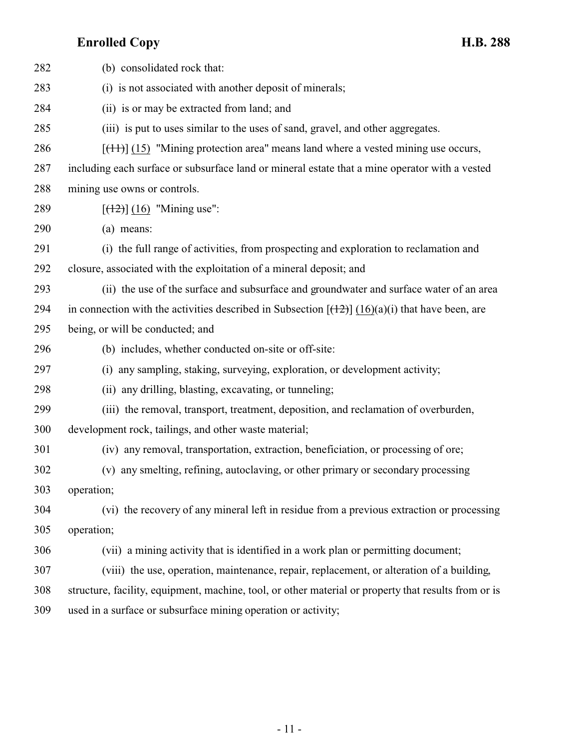| 282 | (b) consolidated rock that:                                                                          |
|-----|------------------------------------------------------------------------------------------------------|
| 283 | (i) is not associated with another deposit of minerals;                                              |
| 284 | (ii) is or may be extracted from land; and                                                           |
| 285 | (iii) is put to uses similar to the uses of sand, gravel, and other aggregates.                      |
| 286 | $[$ (14+)] (15) "Mining protection area" means land where a vested mining use occurs,                |
| 287 | including each surface or subsurface land or mineral estate that a mine operator with a vested       |
| 288 | mining use owns or controls.                                                                         |
| 289 | $[ (12) ] (16)$ "Mining use":                                                                        |
| 290 | (a) means:                                                                                           |
| 291 | (i) the full range of activities, from prospecting and exploration to reclamation and                |
| 292 | closure, associated with the exploitation of a mineral deposit; and                                  |
| 293 | (ii) the use of the surface and subsurface and groundwater and surface water of an area              |
| 294 | in connection with the activities described in Subsection $[(12)(16)(a)(i))$ that have been, are     |
| 295 | being, or will be conducted; and                                                                     |
| 296 | (b) includes, whether conducted on-site or off-site:                                                 |
| 297 | (i) any sampling, staking, surveying, exploration, or development activity;                          |
| 298 | (ii) any drilling, blasting, excavating, or tunneling;                                               |
| 299 | (iii) the removal, transport, treatment, deposition, and reclamation of overburden,                  |
| 300 | development rock, tailings, and other waste material;                                                |
| 301 | (iv) any removal, transportation, extraction, beneficiation, or processing of ore;                   |
| 302 | (v) any smelting, refining, autoclaving, or other primary or secondary processing                    |
| 303 | operation;                                                                                           |
| 304 | (vi) the recovery of any mineral left in residue from a previous extraction or processing            |
| 305 | operation;                                                                                           |
| 306 | (vii) a mining activity that is identified in a work plan or permitting document;                    |
| 307 | (viii) the use, operation, maintenance, repair, replacement, or alteration of a building,            |
| 308 | structure, facility, equipment, machine, tool, or other material or property that results from or is |
| 309 | used in a surface or subsurface mining operation or activity;                                        |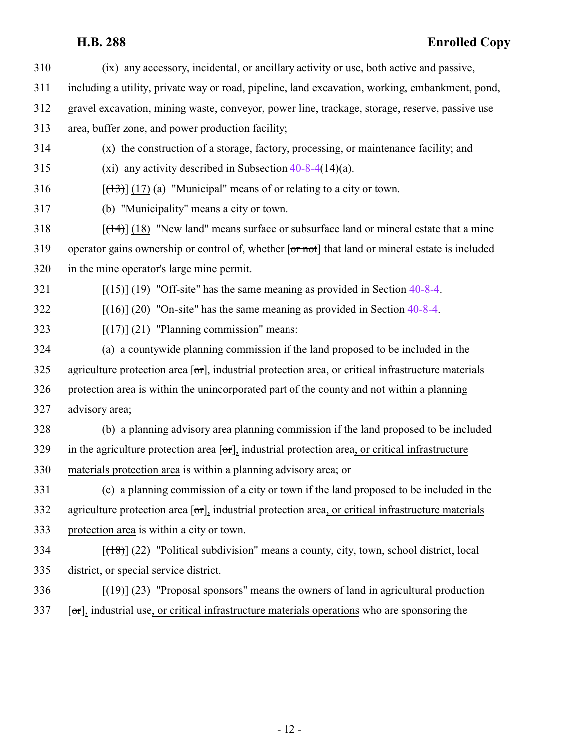(ix) any accessory, incidental, or ancillary activity or use, both active and passive, including a utility, private way or road, pipeline, land excavation, working, embankment, pond, gravel excavation, mining waste, conveyor, power line, trackage, storage, reserve, passive use area, buffer zone, and power production facility; (x) the construction of a storage, factory, processing, or maintenance facility; and (xi) any activity described in Subsection [40-8-4](http://le.utah.gov/UtahCode/SectionLookup.jsp?section=40-8-4&session=2019GS)(14)(a). [(13)] (17) (a) "Municipal" means of or relating to a city or town. (b) "Municipality" means a city or town.  $[(14)]$  (18) "New land" means surface or subsurface land or mineral estate that a mine 319 operator gains ownership or control of, whether [or not] that land or mineral estate is included in the mine operator's large mine permit.  $[({15})]$  (19) "Off-site" has the same meaning as provided in Section [40-8-4](http://le.utah.gov/UtahCode/SectionLookup.jsp?section=40-8-4&session=2019GS). [(16)] (20) "On-site" has the same meaning as provided in Section [40-8-4](http://le.utah.gov/UtahCode/SectionLookup.jsp?section=40-8-4&session=2019GS). [ $(17)$ ] (21) "Planning commission" means: (a) a countywide planning commission if the land proposed to be included in the 325 agriculture protection area  $\lceil \sigma r \rceil$ , industrial protection area, or critical infrastructure materials protection area is within the unincorporated part of the county and not within a planning advisory area; (b) a planning advisory area planning commission if the land proposed to be included 329 in the agriculture protection area  $\sigma$ , industrial protection area, or critical infrastructure materials protection area is within a planning advisory area; or (c) a planning commission of a city or town if the land proposed to be included in the 332 agriculture protection area  $\lceil \sigma r \rceil$ , industrial protection area, or critical infrastructure materials protection area is within a city or town.  $[({18})]$  (22) "Political subdivision" means a county, city, town, school district, local district, or special service district.  $[(19)] (23)$  "Proposal sponsors" means the owners of land in agricultural production [or], industrial use, or critical infrastructure materials operations who are sponsoring the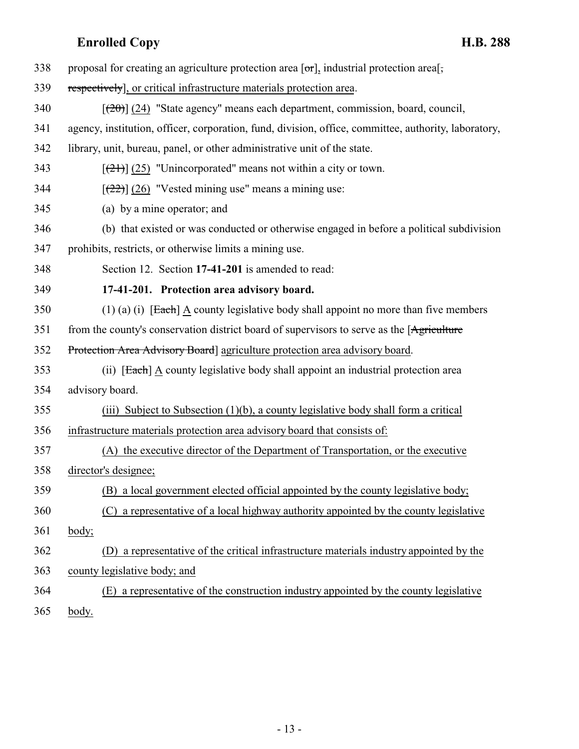<span id="page-12-0"></span>

| 338 | proposal for creating an agriculture protection area $[\sigma r]$ , industrial protection area $\lceil \cdot \rceil$ |
|-----|----------------------------------------------------------------------------------------------------------------------|
| 339 | respectively], or critical infrastructure materials protection area.                                                 |
| 340 | $[\frac{(20)}{(24)}]$ (24) "State agency" means each department, commission, board, council,                         |
| 341 | agency, institution, officer, corporation, fund, division, office, committee, authority, laboratory,                 |
| 342 | library, unit, bureau, panel, or other administrative unit of the state.                                             |
| 343 | $[\frac{21}{2}]$ (25) "Unincorporated" means not within a city or town.                                              |
| 344 | $[222]$ (26) "Vested mining use" means a mining use:                                                                 |
| 345 | (a) by a mine operator; and                                                                                          |
| 346 | (b) that existed or was conducted or otherwise engaged in before a political subdivision                             |
| 347 | prohibits, restricts, or otherwise limits a mining use.                                                              |
| 348 | Section 12. Section 17-41-201 is amended to read:                                                                    |
| 349 | 17-41-201. Protection area advisory board.                                                                           |
| 350 | $(1)$ (a) (i) [Each] A county legislative body shall appoint no more than five members                               |
| 351 | from the county's conservation district board of supervisors to serve as the [Agriculture]                           |
| 352 | Protection Area Advisory Board] agriculture protection area advisory board.                                          |
| 353 | (ii) [Each] A county legislative body shall appoint an industrial protection area                                    |
| 354 | advisory board.                                                                                                      |
| 355 | (iii) Subject to Subsection $(1)(b)$ , a county legislative body shall form a critical                               |
| 356 | infrastructure materials protection area advisory board that consists of:                                            |
| 357 | (A) the executive director of the Department of Transportation, or the executive                                     |
| 358 | director's designee;                                                                                                 |
| 359 | (B) a local government elected official appointed by the county legislative body;                                    |
| 360 | a representative of a local highway authority appointed by the county legislative<br>(C)                             |
| 361 | body;                                                                                                                |
| 362 | a representative of the critical infrastructure materials industry appointed by the<br>(D)                           |
| 363 | county legislative body; and                                                                                         |
| 364 | a representative of the construction industry appointed by the county legislative<br>(E)                             |
|     |                                                                                                                      |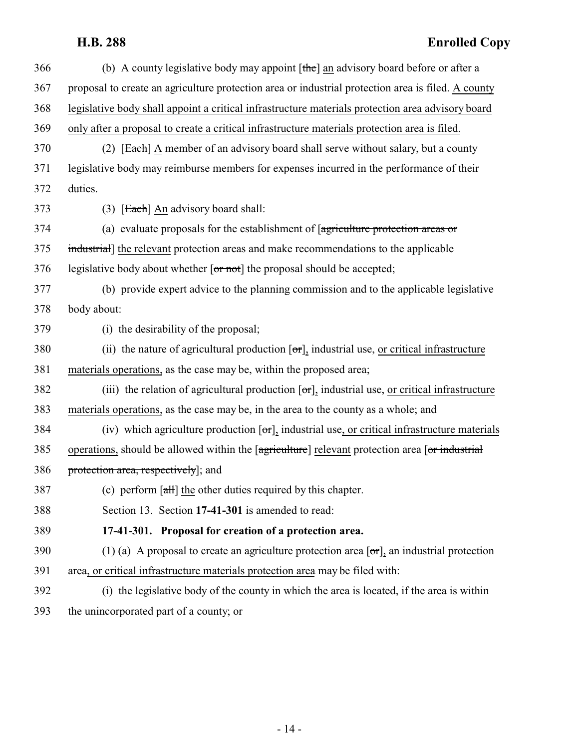<span id="page-13-0"></span>

| 366 | (b) A county legislative body may appoint $[\theta]$ an advisory board before or after a                       |
|-----|----------------------------------------------------------------------------------------------------------------|
| 367 | proposal to create an agriculture protection area or industrial protection area is filed. A county             |
| 368 | legislative body shall appoint a critical infrastructure materials protection area advisory board              |
| 369 | only after a proposal to create a critical infrastructure materials protection area is filed.                  |
| 370 | (2) [Each] A member of an advisory board shall serve without salary, but a county                              |
| 371 | legislative body may reimburse members for expenses incurred in the performance of their                       |
| 372 | duties.                                                                                                        |
| 373 | $(3)$ [Each] An advisory board shall:                                                                          |
| 374 | (a) evaluate proposals for the establishment of [agriculture protection areas or                               |
| 375 | industrial] the relevant protection areas and make recommendations to the applicable                           |
| 376 | legislative body about whether [or not] the proposal should be accepted;                                       |
| 377 | (b) provide expert advice to the planning commission and to the applicable legislative                         |
| 378 | body about:                                                                                                    |
| 379 | (i) the desirability of the proposal;                                                                          |
| 380 | (ii) the nature of agricultural production $[\sigma r]_1$ industrial use, or critical infrastructure           |
| 381 | materials operations, as the case may be, within the proposed area;                                            |
| 382 | (iii) the relation of agricultural production $[\sigma r]_2$ industrial use, <u>or critical infrastructure</u> |
| 383 | materials operations, as the case may be, in the area to the county as a whole; and                            |
| 384 | (iv) which agriculture production $[\sigma r]$ , industrial use, or critical infrastructure materials          |
| 385 | operations, should be allowed within the [agriculture] relevant protection area [or industrial]                |
| 386 | protection area, respectively]; and                                                                            |
| 387 | (c) perform $\left[\frac{\text{at}}{\text{at}}\right]$ the other duties required by this chapter.              |
| 388 | Section 13. Section 17-41-301 is amended to read:                                                              |
| 389 | 17-41-301. Proposal for creation of a protection area.                                                         |
| 390 | (1) (a) A proposal to create an agriculture protection area $[\sigma\tau]$ , an industrial protection          |
| 391 | area, or critical infrastructure materials protection area may be filed with:                                  |
| 392 | (i) the legislative body of the county in which the area is located, if the area is within                     |
| 393 | the unincorporated part of a county; or                                                                        |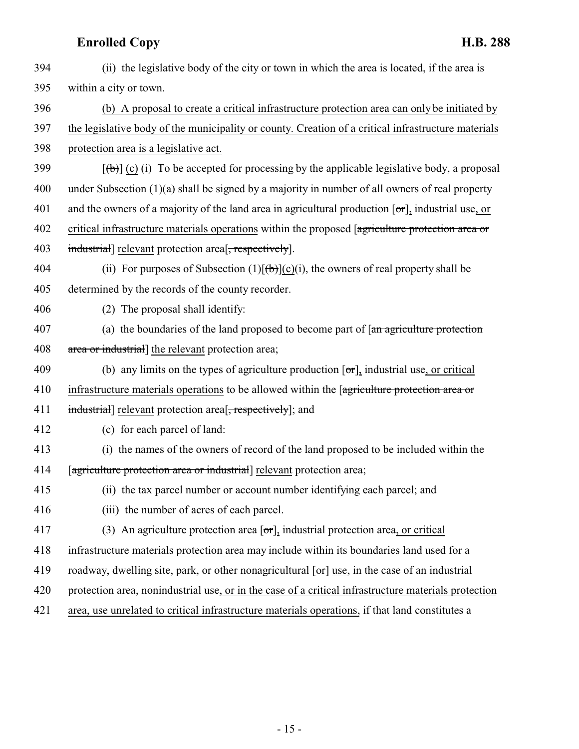394 (ii) the legislative body of the city or town in which the area is located, if the area is 395 within a city or town. 396 (b) A proposal to create a critical infrastructure protection area can only be initiated by 397 the legislative body of the municipality or county. Creation of a critical infrastructure materials 398 protection area is a legislative act. 399  $[\left(\frac{1}{2}\right)]$  (c) (i) To be accepted for processing by the applicable legislative body, a proposal 400 under Subsection (1)(a) shall be signed by a majority in number of all owners of real property 401 and the owners of a majority of the land area in agricultural production  $[\sigma r]$ , industrial use, or 402 critical infrastructure materials operations within the proposed [agriculture protection area or 403 industrial relevant protection area<sup>[</sup>, respectively]. 404 (ii) For purposes of Subsection  $(1)[(b)](c)(i)$ , the owners of real property shall be 405 determined by the records of the county recorder. 406 (2) The proposal shall identify: 407 (a) the boundaries of the land proposed to become part of  $\pi$  agriculture protection 408 area or industrial the relevant protection area; 409 (b) any limits on the types of agriculture production  $[\sigma \tau]$ , industrial use, or critical 410 infrastructure materials operations to be allowed within the [agriculture protection area or 411 industrial relevant protection area<sup>[, respectively]</sup>; and 412 (c) for each parcel of land: 413 (i) the names of the owners of record of the land proposed to be included within the 414 [agriculture protection area or industrial] relevant protection area; 415 (ii) the tax parcel number or account number identifying each parcel; and 416 (iii) the number of acres of each parcel. 417 (3) An agriculture protection area  $\lceil \sigma r \rceil$ , industrial protection area, or critical 418 infrastructure materials protection area may include within its boundaries land used for a 419 roadway, dwelling site, park, or other nonagricultural  $\lceil \sigma r \rceil$  use, in the case of an industrial 420 protection area, nonindustrial use, or in the case of a critical infrastructure materials protection 421 area, use unrelated to critical infrastructure materials operations, if that land constitutes a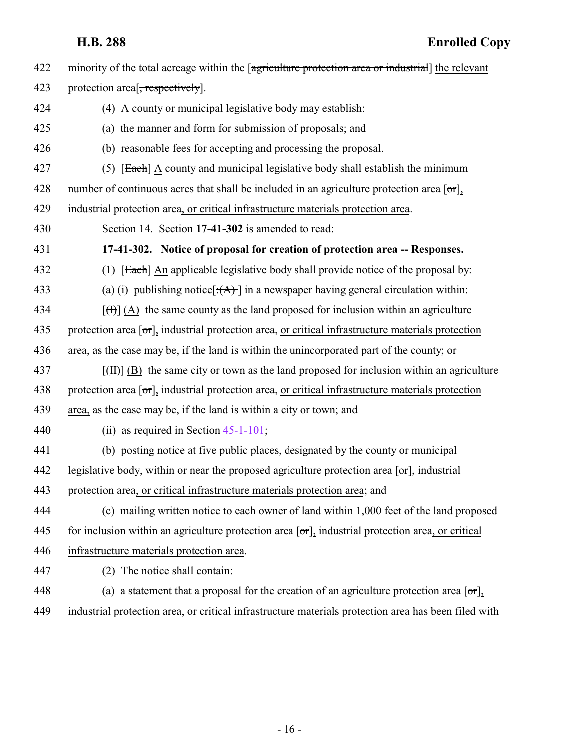<span id="page-15-0"></span>422 minority of the total acreage within the [agriculture protection area or industrial] the relevant 423 protection area<sup>[</sup>, respectively]. 424 (4) A county or municipal legislative body may establish: 425 (a) the manner and form for submission of proposals; and 426 (b) reasonable fees for accepting and processing the proposal. 427 (5) [Each] A county and municipal legislative body shall establish the minimum 428 number of continuous acres that shall be included in an agriculture protection area  $\lceil \sigma r \rceil$ , 429 industrial protection area, or critical infrastructure materials protection area. 430 Section 14. Section **17-41-302** is amended to read: 431 **17-41-302. Notice of proposal for creation of protection area -- Responses.** 432 (1) [Each] An applicable legislative body shall provide notice of the proposal by: 433 (a) (i) publishing notice  $[\cdot(A)]$  in a newspaper having general circulation within: 434  $\left[\left(\frac{H}{H}\right](A)\right]$  the same county as the land proposed for inclusion within an agriculture 435 protection area  $\sigma$ , industrial protection area, or critical infrastructure materials protection 436 area, as the case may be, if the land is within the unincorporated part of the county; or  $[(**H**)]$  (B) the same city or town as the land proposed for inclusion within an agriculture 438 protection area  $\sigma$ , industrial protection area, or critical infrastructure materials protection 439 area, as the case may be, if the land is within a city or town; and 440 (ii) as required in Section [45-1-101](http://le.utah.gov/UtahCode/SectionLookup.jsp?section=45-1-101&session=2019GS); 441 (b) posting notice at five public places, designated by the county or municipal 442 legislative body, within or near the proposed agriculture protection area  $\sigma$ , industrial 443 protection area, or critical infrastructure materials protection area; and 444 (c) mailing written notice to each owner of land within 1,000 feet of the land proposed 445 for inclusion within an agriculture protection area  $\sigma$ , industrial protection area, or critical 446 infrastructure materials protection area. 447 (2) The notice shall contain: 448 (a) a statement that a proposal for the creation of an agriculture protection area  $\sigma$ , 449 industrial protection area, or critical infrastructure materials protection area has been filed with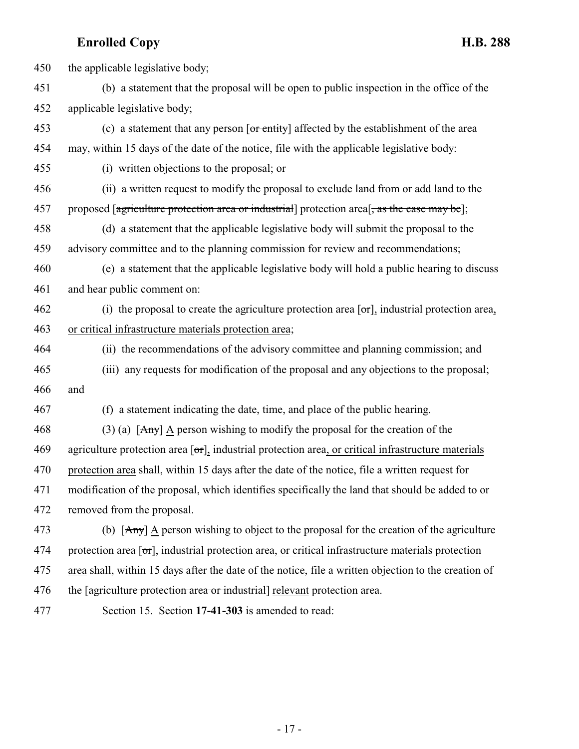450 the applicable legislative body; (b) a statement that the proposal will be open to public inspection in the office of the applicable legislative body; 453 (c) a statement that any person [or entity] affected by the establishment of the area may, within 15 days of the date of the notice, file with the applicable legislative body: (i) written objections to the proposal; or (ii) a written request to modify the proposal to exclude land from or add land to the 457 proposed [agriculture protection area or industrial] protection area<sup>[</sup>, as the case may be]; (d) a statement that the applicable legislative body will submit the proposal to the advisory committee and to the planning commission for review and recommendations; (e) a statement that the applicable legislative body will hold a public hearing to discuss and hear public comment on: 462 (i) the proposal to create the agriculture protection area  $[\sigma r]$ , industrial protection area, or critical infrastructure materials protection area; (ii) the recommendations of the advisory committee and planning commission; and (iii) any requests for modification of the proposal and any objections to the proposal; and (f) a statement indicating the date, time, and place of the public hearing. 468 (3) (a)  $[Any]$  A person wishing to modify the proposal for the creation of the 469 agriculture protection area  $\lceil \sigma r \rceil$ , industrial protection area, or critical infrastructure materials protection area shall, within 15 days after the date of the notice, file a written request for modification of the proposal, which identifies specifically the land that should be added to or removed from the proposal. 473 (b)  $[Any]$  A person wishing to object to the proposal for the creation of the agriculture 474 protection area  $\sigma$ , industrial protection area, or critical infrastructure materials protection area shall, within 15 days after the date of the notice, file a written objection to the creation of 476 the [agriculture protection area or industrial] relevant protection area.

<span id="page-16-0"></span>

Section 15. Section **17-41-303** is amended to read: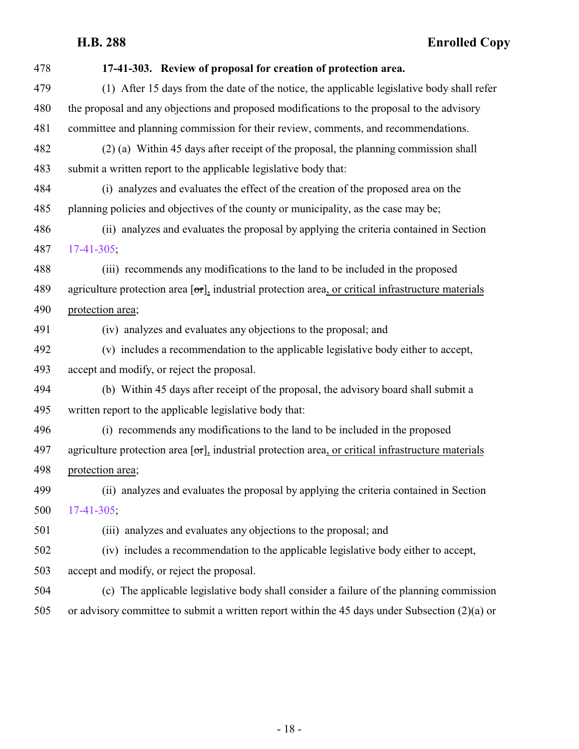| 478 | 17-41-303. Review of proposal for creation of protection area.                                              |
|-----|-------------------------------------------------------------------------------------------------------------|
| 479 | (1) After 15 days from the date of the notice, the applicable legislative body shall refer                  |
| 480 | the proposal and any objections and proposed modifications to the proposal to the advisory                  |
| 481 | committee and planning commission for their review, comments, and recommendations.                          |
| 482 | (2) (a) Within 45 days after receipt of the proposal, the planning commission shall                         |
| 483 | submit a written report to the applicable legislative body that:                                            |
| 484 | (i) analyzes and evaluates the effect of the creation of the proposed area on the                           |
| 485 | planning policies and objectives of the county or municipality, as the case may be;                         |
| 486 | (ii) analyzes and evaluates the proposal by applying the criteria contained in Section                      |
| 487 | $17-41-305$ ;                                                                                               |
| 488 | (iii) recommends any modifications to the land to be included in the proposed                               |
| 489 | agriculture protection area $[\sigma r]$ , industrial protection area, or critical infrastructure materials |
| 490 | protection area;                                                                                            |
| 491 | (iv) analyzes and evaluates any objections to the proposal; and                                             |
| 492 | (v) includes a recommendation to the applicable legislative body either to accept,                          |
| 493 | accept and modify, or reject the proposal.                                                                  |
| 494 | (b) Within 45 days after receipt of the proposal, the advisory board shall submit a                         |
| 495 | written report to the applicable legislative body that:                                                     |
| 496 | (i) recommends any modifications to the land to be included in the proposed                                 |
| 497 | agriculture protection area $[\sigma r]$ , industrial protection area, or critical infrastructure materials |
| 498 | protection area;                                                                                            |
| 499 | (ii) analyzes and evaluates the proposal by applying the criteria contained in Section                      |
| 500 | $17-41-305$ ;                                                                                               |
| 501 | (iii) analyzes and evaluates any objections to the proposal; and                                            |
| 502 | (iv) includes a recommendation to the applicable legislative body either to accept,                         |
| 503 | accept and modify, or reject the proposal.                                                                  |
| 504 | (c) The applicable legislative body shall consider a failure of the planning commission                     |
| 505 | or advisory committee to submit a written report within the 45 days under Subsection $(2)(a)$ or            |
|     |                                                                                                             |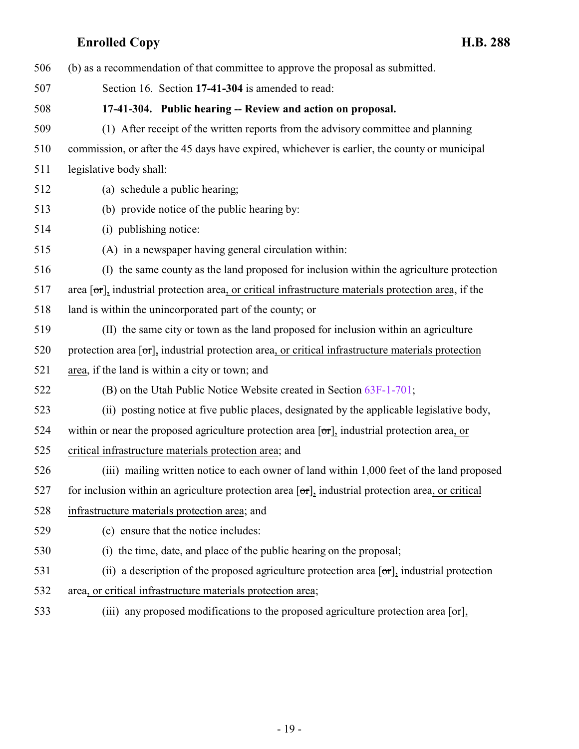<span id="page-18-0"></span>

| 506 | (b) as a recommendation of that committee to approve the proposal as submitted.                                          |
|-----|--------------------------------------------------------------------------------------------------------------------------|
| 507 | Section 16. Section 17-41-304 is amended to read:                                                                        |
| 508 | 17-41-304. Public hearing -- Review and action on proposal.                                                              |
| 509 | (1) After receipt of the written reports from the advisory committee and planning                                        |
| 510 | commission, or after the 45 days have expired, whichever is earlier, the county or municipal                             |
| 511 | legislative body shall:                                                                                                  |
| 512 | (a) schedule a public hearing;                                                                                           |
| 513 | (b) provide notice of the public hearing by:                                                                             |
| 514 | (i) publishing notice:                                                                                                   |
| 515 | (A) in a newspaper having general circulation within:                                                                    |
| 516 | (I) the same county as the land proposed for inclusion within the agriculture protection                                 |
| 517 | area $\lceil \sigma r \rceil$ , industrial protection area, or critical infrastructure materials protection area, if the |
| 518 | land is within the unincorporated part of the county; or                                                                 |
| 519 | (II) the same city or town as the land proposed for inclusion within an agriculture                                      |
| 520 | protection area $[\sigma_{\text{r}}]$ , industrial protection area, or critical infrastructure materials protection      |
| 521 | area, if the land is within a city or town; and                                                                          |
| 522 | (B) on the Utah Public Notice Website created in Section 63F-1-701;                                                      |
| 523 | (ii) posting notice at five public places, designated by the applicable legislative body,                                |
| 524 | within or near the proposed agriculture protection area $[\sigma r]$ , industrial protection area, or                    |
| 525 | critical infrastructure materials protection area; and                                                                   |
| 526 | (iii) mailing written notice to each owner of land within 1,000 feet of the land proposed                                |
| 527 | for inclusion within an agriculture protection area $[\sigma r]_1$ industrial protection area, or critical               |
| 528 | infrastructure materials protection area; and                                                                            |
| 529 | (c) ensure that the notice includes:                                                                                     |
| 530 | (i) the time, date, and place of the public hearing on the proposal;                                                     |
| 531 | (ii) a description of the proposed agriculture protection area $[\sigma r]$ , industrial protection                      |
| 532 | area, or critical infrastructure materials protection area;                                                              |
| 533 | (iii) any proposed modifications to the proposed agriculture protection area $[\sigma \tau]$ ,                           |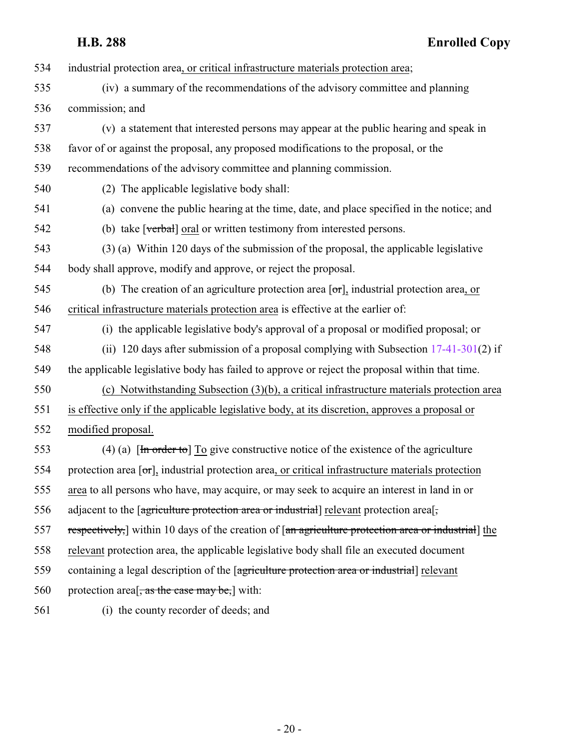| 534 | industrial protection area, or critical infrastructure materials protection area;                                                    |
|-----|--------------------------------------------------------------------------------------------------------------------------------------|
| 535 | (iv) a summary of the recommendations of the advisory committee and planning                                                         |
| 536 | commission; and                                                                                                                      |
| 537 | (v) a statement that interested persons may appear at the public hearing and speak in                                                |
| 538 | favor of or against the proposal, any proposed modifications to the proposal, or the                                                 |
| 539 | recommendations of the advisory committee and planning commission.                                                                   |
| 540 | (2) The applicable legislative body shall:                                                                                           |
| 541 | (a) convene the public hearing at the time, date, and place specified in the notice; and                                             |
| 542 | (b) take [verbal] oral or written testimony from interested persons.                                                                 |
| 543 | (3) (a) Within 120 days of the submission of the proposal, the applicable legislative                                                |
| 544 | body shall approve, modify and approve, or reject the proposal.                                                                      |
| 545 | (b) The creation of an agriculture protection area $\sigma$ , industrial protection area, or                                         |
| 546 | critical infrastructure materials protection area is effective at the earlier of:                                                    |
| 547 | (i) the applicable legislative body's approval of a proposal or modified proposal; or                                                |
| 548 | (ii) 120 days after submission of a proposal complying with Subsection $17-41-301(2)$ if                                             |
| 549 | the applicable legislative body has failed to approve or reject the proposal within that time.                                       |
| 550 | (c) Notwithstanding Subsection (3)(b), a critical infrastructure materials protection area                                           |
| 551 | is effective only if the applicable legislative body, at its discretion, approves a proposal or                                      |
| 552 | modified proposal.                                                                                                                   |
| 553 | (4) (a) $\left[\frac{\text{In order to}}{\text{In order to}}\right]$ To give constructive notice of the existence of the agriculture |
| 554 | protection area $[\sigma_{\tau}]$ , industrial protection area, or critical infrastructure materials protection                      |
| 555 | area to all persons who have, may acquire, or may seek to acquire an interest in land in or                                          |
| 556 | adjacent to the [agriculture protection area or industrial] relevant protection area[,                                               |
| 557 | respectively, within 10 days of the creation of [an agriculture protection area or industrial] the                                   |
| 558 | relevant protection area, the applicable legislative body shall file an executed document                                            |
| 559 | containing a legal description of the [agriculture protection area or industrial] relevant                                           |
| 560 | protection area <sup>[<math>\frac{1}{2}</math></sup> as the case may be,] with:                                                      |
| 561 | (i) the county recorder of deeds; and                                                                                                |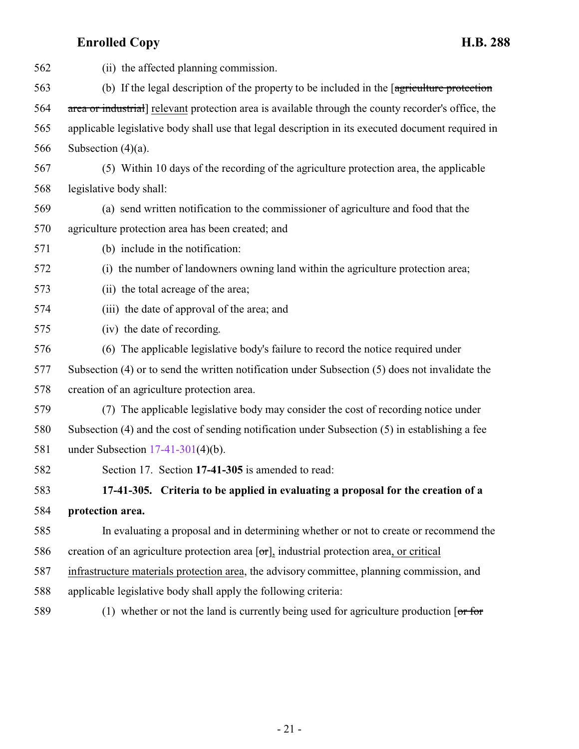<span id="page-20-0"></span>

| 562 | (ii) the affected planning commission.                                                              |
|-----|-----------------------------------------------------------------------------------------------------|
| 563 | (b) If the legal description of the property to be included in the [agriculture protection          |
| 564 | area or industrial] relevant protection area is available through the county recorder's office, the |
| 565 | applicable legislative body shall use that legal description in its executed document required in   |
| 566 | Subsection $(4)(a)$ .                                                                               |
| 567 | (5) Within 10 days of the recording of the agriculture protection area, the applicable              |
| 568 | legislative body shall:                                                                             |
| 569 | (a) send written notification to the commissioner of agriculture and food that the                  |
| 570 | agriculture protection area has been created; and                                                   |
| 571 | (b) include in the notification:                                                                    |
| 572 | (i) the number of landowners owning land within the agriculture protection area;                    |
| 573 | (ii) the total acreage of the area;                                                                 |
| 574 | (iii) the date of approval of the area; and                                                         |
| 575 | (iv) the date of recording.                                                                         |
| 576 | (6) The applicable legislative body's failure to record the notice required under                   |
| 577 | Subsection $(4)$ or to send the written notification under Subsection $(5)$ does not invalidate the |
| 578 | creation of an agriculture protection area.                                                         |
| 579 | (7) The applicable legislative body may consider the cost of recording notice under                 |
| 580 | Subsection (4) and the cost of sending notification under Subsection (5) in establishing a fee      |
| 581 | under Subsection $17-41-301(4)(b)$ .                                                                |
| 582 | Section 17. Section 17-41-305 is amended to read:                                                   |
| 583 | 17-41-305. Criteria to be applied in evaluating a proposal for the creation of a                    |
| 584 | protection area.                                                                                    |
| 585 | In evaluating a proposal and in determining whether or not to create or recommend the               |
| 586 | creation of an agriculture protection area $[\sigma r]$ , industrial protection area, or critical   |
| 587 | infrastructure materials protection area, the advisory committee, planning commission, and          |
| 588 | applicable legislative body shall apply the following criteria:                                     |
| 589 | (1) whether or not the land is currently being used for agriculture production $\lceil$ or for      |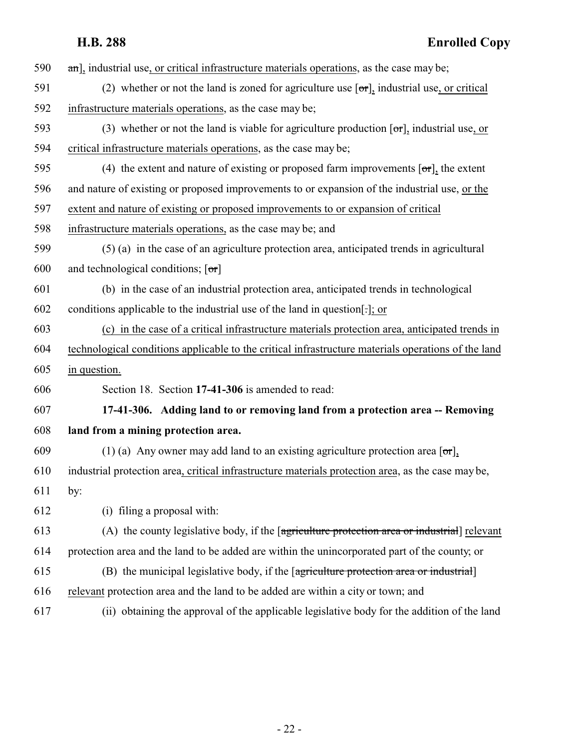- **H.B. 288 Enrolled Copy** 590 and, industrial use, or critical infrastructure materials operations, as the case may be; 591 (2) whether or not the land is zoned for agriculture use  $[\sigma r]$ , industrial use, or critical infrastructure materials operations, as the case may be; 593 (3) whether or not the land is viable for agriculture production  $[\sigma r]$ , industrial use, or critical infrastructure materials operations, as the case may be; 595 (4) the extent and nature of existing or proposed farm improvements  $\sigma$ , the extent and nature of existing or proposed improvements to or expansion of the industrial use, or the extent and nature of existing or proposed improvements to or expansion of critical infrastructure materials operations, as the case may be; and (5) (a) in the case of an agriculture protection area, anticipated trends in agricultural 600 and technological conditions;  $[\sigma r]$  (b) in the case of an industrial protection area, anticipated trends in technological conditions applicable to the industrial use of the land in question[.]; or (c) in the case of a critical infrastructure materials protection area, anticipated trends in technological conditions applicable to the critical infrastructure materials operations of the land in question. Section 18. Section **17-41-306** is amended to read: **17-41-306. Adding land to or removing land from a protection area -- Removing**
- <span id="page-21-0"></span>**land from a mining protection area.**
- 609 (1) (a) Any owner may add land to an existing agriculture protection area  $\sigma$ ,
- industrial protection area, critical infrastructure materials protection area, as the case may be,
- by:

(i) filing a proposal with:

- (A) the county legislative body, if the [agriculture protection area or industrial] relevant protection area and the land to be added are within the unincorporated part of the county; or
- (B) the municipal legislative body, if the [agriculture protection area or industrial] relevant protection area and the land to be added are within a city or town; and
- (ii) obtaining the approval of the applicable legislative body for the addition of the land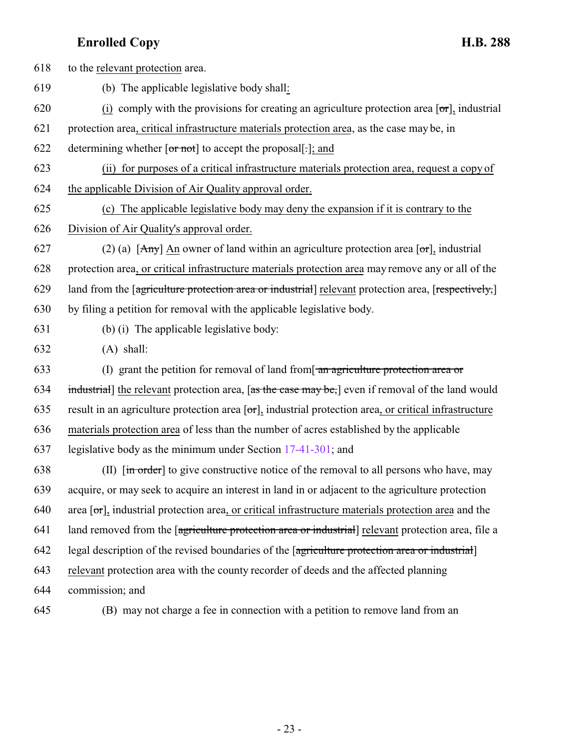to the relevant protection area. (b) The applicable legislative body shall: 620 (i) comply with the provisions for creating an agriculture protection area  $\sigma$ , industrial protection area, critical infrastructure materials protection area, as the case may be, in 622 determining whether  $\overline{[or not]}$  to accept the proposal.  $\overline{c}$ , and (ii) for purposes of a critical infrastructure materials protection area, request a copy of the applicable Division of Air Quality approval order. (c) The applicable legislative body may deny the expansion if it is contrary to the Division of Air Quality's approval order. 627 (2) (a)  $[Amy]$  An owner of land within an agriculture protection area  $[**or**]$ , industrial protection area, or critical infrastructure materials protection area may remove any or all of the 629 land from the [agriculture protection area or industrial] relevant protection area, [respectively,] by filing a petition for removal with the applicable legislative body. (b) (i) The applicable legislative body: (A) shall: 633 (I) grant the petition for removal of land from  $\frac{1}{2}$  and agriculture protection area or 634 industrial] the relevant protection area,  $\left[$ as the case may be, $\right]$  even if removal of the land would 635 result in an agriculture protection area  $\sigma$ , industrial protection area, or critical infrastructure materials protection area of less than the number of acres established by the applicable legislative body as the minimum under Section [17-41-301](#page-13-0); and 638 (II)  $\left[\frac{1}{2} \text{ order}\right]$  to give constructive notice of the removal to all persons who have, may acquire, or may seek to acquire an interest in land in or adjacent to the agriculture protection 640 area  $\sigma$ , industrial protection area, or critical infrastructure materials protection area and the 641 land removed from the [agriculture protection area or industrial] relevant protection area, file a legal description of the revised boundaries of the [agriculture protection area or industrial] relevant protection area with the county recorder of deeds and the affected planning commission; and

645 (B) may not charge a fee in connection with a petition to remove land from an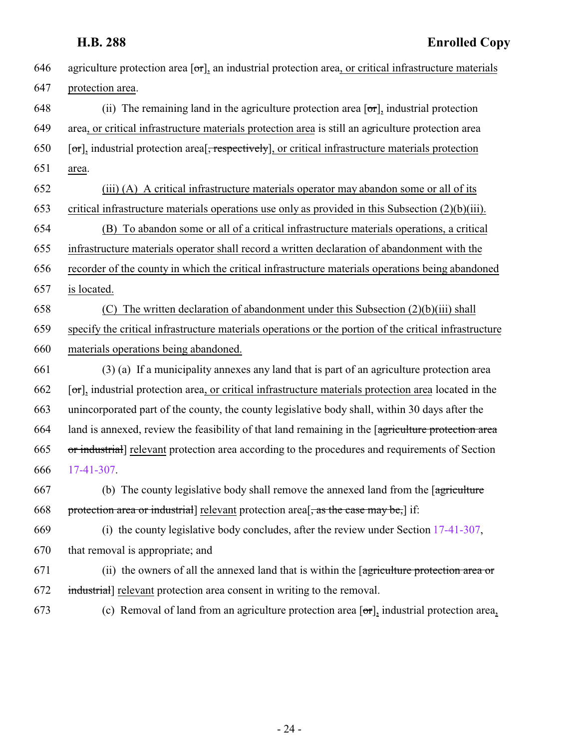| 646 | agriculture protection area $[\sigma r]$ , an industrial protection area, or critical infrastructure materials |
|-----|----------------------------------------------------------------------------------------------------------------|
| 647 | protection area.                                                                                               |
| 648 | (ii) The remaining land in the agriculture protection area $[\sigma r]_1$ industrial protection                |
| 649 | area, or critical infrastructure materials protection area is still an agriculture protection area             |
| 650 | [or], industrial protection area <sup>[</sup> , respectively], or critical infrastructure materials protection |
| 651 | area.                                                                                                          |
| 652 | (iii) (A) A critical infrastructure materials operator may abandon some or all of its                          |
| 653 | critical infrastructure materials operations use only as provided in this Subsection $(2)(b)(iii)$ .           |
| 654 | (B) To abandon some or all of a critical infrastructure materials operations, a critical                       |
| 655 | infrastructure materials operator shall record a written declaration of abandonment with the                   |
| 656 | recorder of the county in which the critical infrastructure materials operations being abandoned               |
| 657 | is located.                                                                                                    |
| 658 | The written declaration of abandonment under this Subsection (2)(b)(iii) shall<br>(C)                          |
| 659 | specify the critical infrastructure materials operations or the portion of the critical infrastructure         |
| 660 | materials operations being abandoned.                                                                          |
| 661 | (3) (a) If a municipality annexes any land that is part of an agriculture protection area                      |
| 662 | [or], industrial protection area, or critical infrastructure materials protection area located in the          |
| 663 | unincorporated part of the county, the county legislative body shall, within 30 days after the                 |
| 664 | land is annexed, review the feasibility of that land remaining in the [agriculture protection area             |
| 665 | or industrial] relevant protection area according to the procedures and requirements of Section                |
| 666 | 17-41-307.                                                                                                     |
| 667 | (b) The county legislative body shall remove the annexed land from the [agriculture]                           |
| 668 | protection area or industrial] relevant protection area <sup>[</sup> , as the case may be,] if:                |
| 669 | (i) the county legislative body concludes, after the review under Section $17-41-307$ ,                        |
| 670 | that removal is appropriate; and                                                                               |
| 671 | (ii) the owners of all the annexed land that is within the [agriculture protection area or                     |
| 672 | industrial] relevant protection area consent in writing to the removal.                                        |
| 673 | (c) Removal of land from an agriculture protection area $[\sigma r]$ , industrial protection area,             |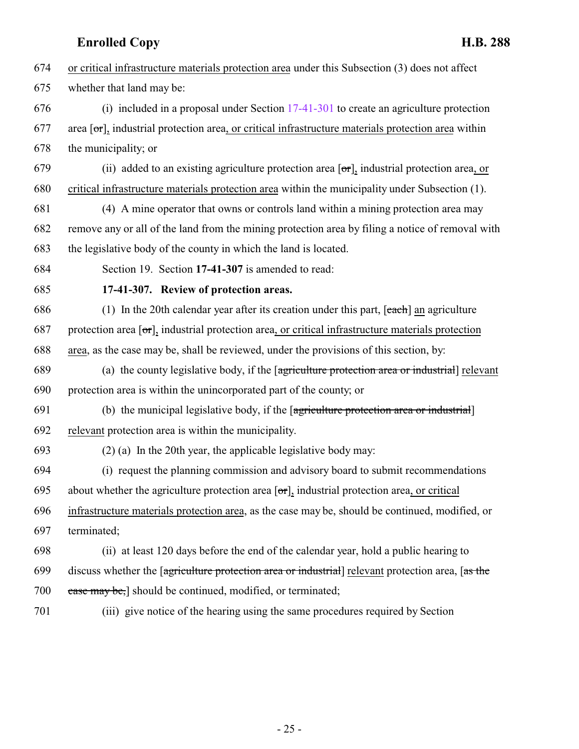- <span id="page-24-0"></span> or critical infrastructure materials protection area under this Subsection (3) does not affect whether that land may be: (i) included in a proposal under Section [17-41-301](#page-13-0) to create an agriculture protection 677 area  $\sigma$ , industrial protection area, or critical infrastructure materials protection area within the municipality; or 679 (ii) added to an existing agriculture protection area  $[\sigma \tau]$ , industrial protection area, or critical infrastructure materials protection area within the municipality under Subsection (1). (4) A mine operator that owns or controls land within a mining protection area may remove any or all of the land from the mining protection area by filing a notice of removal with the legislative body of the county in which the land is located. Section 19. Section **17-41-307** is amended to read: **17-41-307. Review of protection areas.** 686 (1) In the 20th calendar year after its creation under this part,  $[each]$  an agriculture 687 protection area  $\sigma$ , industrial protection area, or critical infrastructure materials protection area, as the case may be, shall be reviewed, under the provisions of this section, by: (a) the county legislative body, if the [agriculture protection area or industrial] relevant protection area is within the unincorporated part of the county; or (b) the municipal legislative body, if the [agriculture protection area or industrial] relevant protection area is within the municipality. (2) (a) In the 20th year, the applicable legislative body may: (i) request the planning commission and advisory board to submit recommendations 695 about whether the agriculture protection area  $[\sigma\tau]$ , industrial protection area, or critical infrastructure materials protection area, as the case may be, should be continued, modified, or terminated; (ii) at least 120 days before the end of the calendar year, hold a public hearing to discuss whether the [agriculture protection area or industrial] relevant protection area, [as the 700 ease may be,] should be continued, modified, or terminated;
	-

(iii) give notice of the hearing using the same procedures required by Section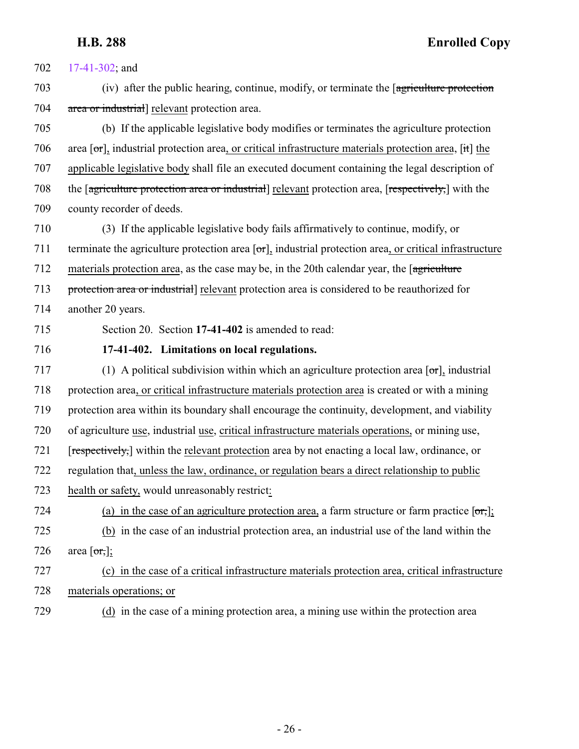<span id="page-25-0"></span> [17-41-302](#page-15-0); and (iv) after the public hearing, continue, modify, or terminate the [agriculture protection area or industrial] relevant protection area. (b) If the applicable legislative body modifies or terminates the agriculture protection 706 area  $\sigma$ , industrial protection area, or critical infrastructure materials protection area,  $\sigma$ , it the applicable legislative body shall file an executed document containing the legal description of the [agriculture protection area or industrial] relevant protection area, [respectively,] with the county recorder of deeds. (3) If the applicable legislative body fails affirmatively to continue, modify, or terminate the agriculture protection area [or], industrial protection area, or critical infrastructure materials protection area, as the case may be, in the 20th calendar year, the [agriculture protection area or industrial] relevant protection area is considered to be reauthorized for another 20 years. Section 20. Section **17-41-402** is amended to read: **17-41-402. Limitations on local regulations.** 717 (1) A political subdivision within which an agriculture protection area  $\sigma$ , industrial protection area, or critical infrastructure materials protection area is created or with a mining protection area within its boundary shall encourage the continuity, development, and viability of agriculture use, industrial use, critical infrastructure materials operations, or mining use, [respectively,] within the relevant protection area by not enacting a local law, ordinance, or regulation that, unless the law, ordinance, or regulation bears a direct relationship to public health or safety, would unreasonably restrict: 724 (a) in the case of an agriculture protection area, a farm structure or farm practice  $[**or**,]$ ; (b) in the case of an industrial protection area, an industrial use of the land within the 726 area  $\lceil \text{or,} \rceil$ ; (c) in the case of a critical infrastructure materials protection area, critical infrastructure materials operations; or (d) in the case of a mining protection area, a mining use within the protection area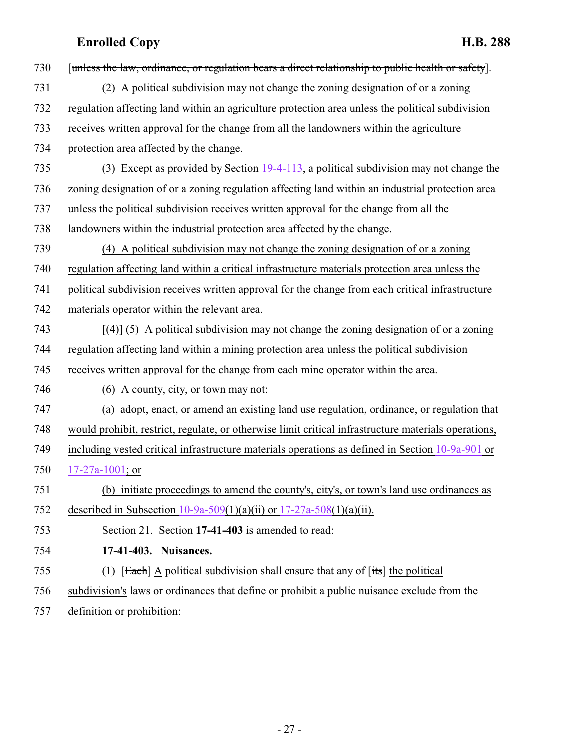<span id="page-26-0"></span>

| 730 | [unless the law, ordinance, or regulation bears a direct relationship to public health or safety].   |
|-----|------------------------------------------------------------------------------------------------------|
| 731 | (2) A political subdivision may not change the zoning designation of or a zoning                     |
| 732 | regulation affecting land within an agriculture protection area unless the political subdivision     |
| 733 | receives written approval for the change from all the landowners within the agriculture              |
| 734 | protection area affected by the change.                                                              |
| 735 | (3) Except as provided by Section 19-4-113, a political subdivision may not change the               |
| 736 | zoning designation of or a zoning regulation affecting land within an industrial protection area     |
| 737 | unless the political subdivision receives written approval for the change from all the               |
| 738 | landowners within the industrial protection area affected by the change.                             |
| 739 | (4) A political subdivision may not change the zoning designation of or a zoning                     |
| 740 | regulation affecting land within a critical infrastructure materials protection area unless the      |
| 741 | political subdivision receives written approval for the change from each critical infrastructure     |
| 742 | materials operator within the relevant area.                                                         |
| 743 | $[\frac{4}{3}]$ (5) A political subdivision may not change the zoning designation of or a zoning     |
| 744 | regulation affecting land within a mining protection area unless the political subdivision           |
| 745 | receives written approval for the change from each mine operator within the area.                    |
| 746 | (6) A county, city, or town may not:                                                                 |
| 747 | (a) adopt, enact, or amend an existing land use regulation, ordinance, or regulation that            |
| 748 | would prohibit, restrict, regulate, or otherwise limit critical infrastructure materials operations, |
| 749 | including vested critical infrastructure materials operations as defined in Section 10-9a-901 or     |
| 750 | $17-27a-1001$ ; or                                                                                   |
| 751 | (b) initiate proceedings to amend the county's, city's, or town's land use ordinances as             |
| 752 | described in Subsection 10-9a-509(1)(a)(ii) or $17-27a-508(1)(a)(ii)$ .                              |
| 753 | Section 21. Section 17-41-403 is amended to read:                                                    |
| 754 | 17-41-403. Nuisances.                                                                                |
| 755 | (1) [Each] A political subdivision shall ensure that any of $[its]$ the political                    |
| 756 | subdivision's laws or ordinances that define or prohibit a public nuisance exclude from the          |
| 757 | definition or prohibition:                                                                           |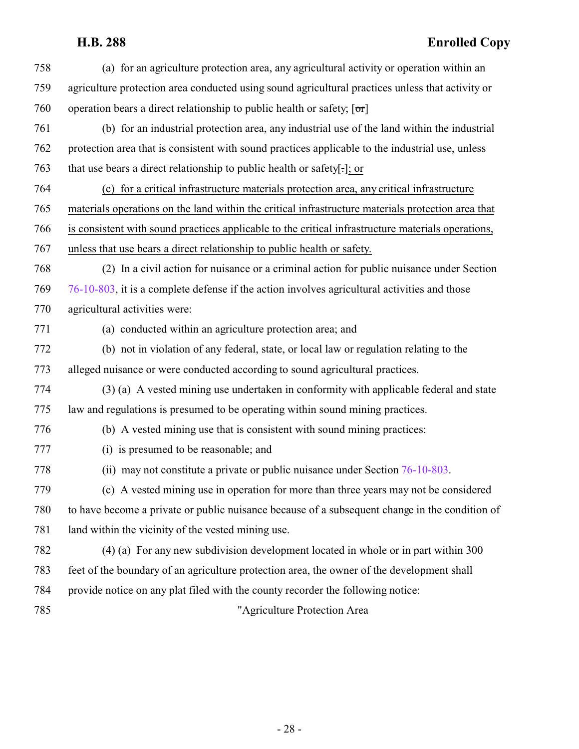| 758 | (a) for an agriculture protection area, any agricultural activity or operation within an           |
|-----|----------------------------------------------------------------------------------------------------|
| 759 | agriculture protection area conducted using sound agricultural practices unless that activity or   |
| 760 | operation bears a direct relationship to public health or safety; $[\sigma r]$                     |
| 761 | (b) for an industrial protection area, any industrial use of the land within the industrial        |
| 762 | protection area that is consistent with sound practices applicable to the industrial use, unless   |
| 763 | that use bears a direct relationship to public health or safety[.]; or                             |
| 764 | (c) for a critical infrastructure materials protection area, any critical infrastructure           |
| 765 | materials operations on the land within the critical infrastructure materials protection area that |
| 766 | is consistent with sound practices applicable to the critical infrastructure materials operations, |
| 767 | unless that use bears a direct relationship to public health or safety.                            |
| 768 | (2) In a civil action for nuisance or a criminal action for public nuisance under Section          |
| 769 | 76-10-803, it is a complete defense if the action involves agricultural activities and those       |
| 770 | agricultural activities were:                                                                      |
| 771 | (a) conducted within an agriculture protection area; and                                           |
| 772 | (b) not in violation of any federal, state, or local law or regulation relating to the             |
| 773 | alleged nuisance or were conducted according to sound agricultural practices.                      |
| 774 | (3) (a) A vested mining use undertaken in conformity with applicable federal and state             |
| 775 | law and regulations is presumed to be operating within sound mining practices.                     |
| 776 | (b) A vested mining use that is consistent with sound mining practices:                            |
| 777 | (i) is presumed to be reasonable; and                                                              |
| 778 | (ii) may not constitute a private or public nuisance under Section $76-10-803$ .                   |
| 779 | (c) A vested mining use in operation for more than three years may not be considered               |
| 780 | to have become a private or public nuisance because of a subsequent change in the condition of     |
| 781 | land within the vicinity of the vested mining use.                                                 |
| 782 | (4) (a) For any new subdivision development located in whole or in part within 300                 |
| 783 | feet of the boundary of an agriculture protection area, the owner of the development shall         |
| 784 | provide notice on any plat filed with the county recorder the following notice:                    |
| 785 | "Agriculture Protection Area                                                                       |
|     |                                                                                                    |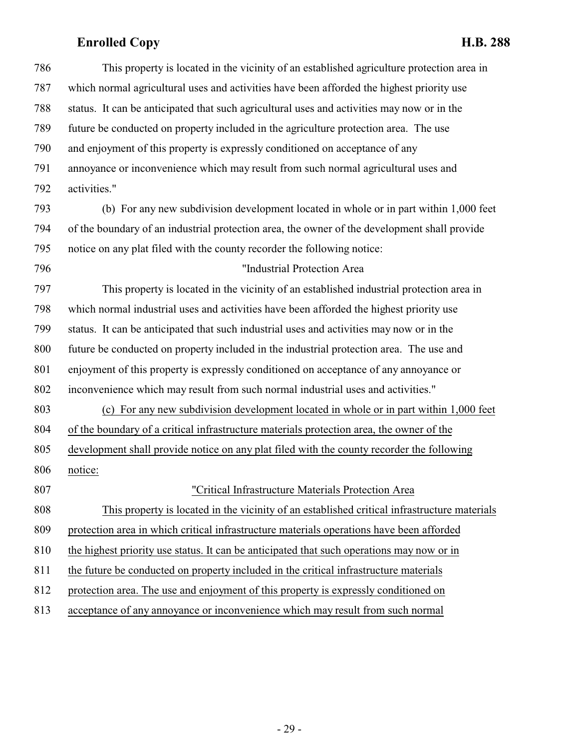| 786 | This property is located in the vicinity of an established agriculture protection area in    |
|-----|----------------------------------------------------------------------------------------------|
| 787 | which normal agricultural uses and activities have been afforded the highest priority use    |
| 788 | status. It can be anticipated that such agricultural uses and activities may now or in the   |
| 789 | future be conducted on property included in the agriculture protection area. The use         |
| 790 | and enjoyment of this property is expressly conditioned on acceptance of any                 |
| 791 | annoyance or inconvenience which may result from such normal agricultural uses and           |
| 792 | activities."                                                                                 |
| 793 | (b) For any new subdivision development located in whole or in part within 1,000 feet        |
| 794 | of the boundary of an industrial protection area, the owner of the development shall provide |
| 795 | notice on any plat filed with the county recorder the following notice:                      |
| 796 | "Industrial Protection Area                                                                  |
| 797 | This property is located in the vicinity of an established industrial protection area in     |
| 798 | which normal industrial uses and activities have been afforded the highest priority use      |
| 799 | status. It can be anticipated that such industrial uses and activities may now or in the     |
| 800 | future be conducted on property included in the industrial protection area. The use and      |
| 801 | enjoyment of this property is expressly conditioned on acceptance of any annoyance or        |
| 802 | inconvenience which may result from such normal industrial uses and activities."             |
| 803 | (c) For any new subdivision development located in whole or in part within 1,000 feet        |
| 804 | of the boundary of a critical infrastructure materials protection area, the owner of the     |
| 805 | development shall provide notice on any plat filed with the county recorder the following    |
| 806 | notice:                                                                                      |
| 807 | "Critical Infrastructure Materials Protection Area                                           |
| 808 | This property is located in the vicinity of an established critical infrastructure materials |
| 809 | protection area in which critical infrastructure materials operations have been afforded     |
| 810 | the highest priority use status. It can be anticipated that such operations may now or in    |
| 811 | the future be conducted on property included in the critical infrastructure materials        |
| 812 | protection area. The use and enjoyment of this property is expressly conditioned on          |
| 813 | acceptance of any annoyance or inconvenience which may result from such normal               |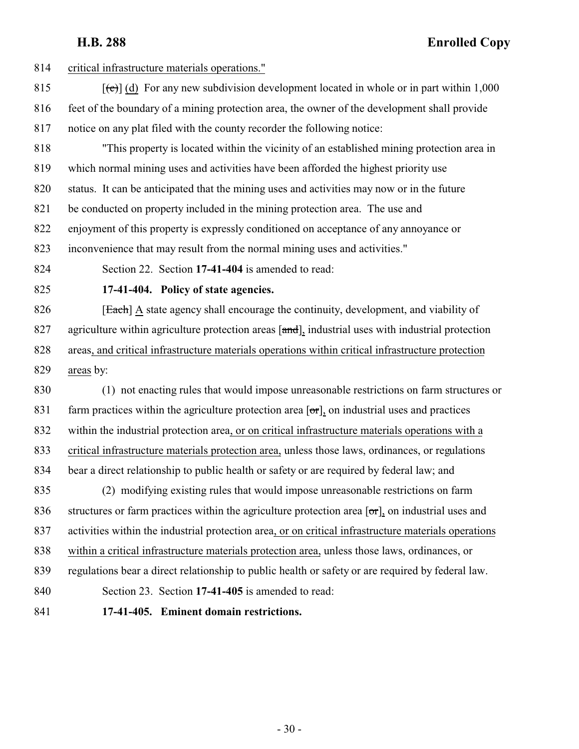<span id="page-29-1"></span><span id="page-29-0"></span>

| 814 | critical infrastructure materials operations."                                                            |
|-----|-----------------------------------------------------------------------------------------------------------|
| 815 | $[\text{e}(\text{e})]$ (d) For any new subdivision development located in whole or in part within 1,000   |
| 816 | feet of the boundary of a mining protection area, the owner of the development shall provide              |
| 817 | notice on any plat filed with the county recorder the following notice:                                   |
| 818 | "This property is located within the vicinity of an established mining protection area in                 |
| 819 | which normal mining uses and activities have been afforded the highest priority use                       |
| 820 | status. It can be anticipated that the mining uses and activities may now or in the future                |
| 821 | be conducted on property included in the mining protection area. The use and                              |
| 822 | enjoyment of this property is expressly conditioned on acceptance of any annoyance or                     |
| 823 | inconvenience that may result from the normal mining uses and activities."                                |
| 824 | Section 22. Section 17-41-404 is amended to read:                                                         |
| 825 | 17-41-404. Policy of state agencies.                                                                      |
| 826 | [Each] A state agency shall encourage the continuity, development, and viability of                       |
| 827 | agriculture within agriculture protection areas [and], industrial uses with industrial protection         |
| 828 | areas, and critical infrastructure materials operations within critical infrastructure protection         |
| 829 | areas by:                                                                                                 |
| 830 | (1) not enacting rules that would impose unreasonable restrictions on farm structures or                  |
| 831 | farm practices within the agriculture protection area $[\sigma r]$ , on industrial uses and practices     |
| 832 | within the industrial protection area, or on critical infrastructure materials operations with a          |
| 833 | critical infrastructure materials protection area, unless those laws, ordinances, or regulations          |
| 834 | bear a direct relationship to public health or safety or are required by federal law; and                 |
| 835 | (2) modifying existing rules that would impose unreasonable restrictions on farm                          |
| 836 | structures or farm practices within the agriculture protection area $[\sigma r]_2$ on industrial uses and |
| 837 | activities within the industrial protection area, or on critical infrastructure materials operations      |
| 838 | within a critical infrastructure materials protection area, unless those laws, ordinances, or             |
| 839 | regulations bear a direct relationship to public health or safety or are required by federal law.         |
| 840 | Section 23. Section 17-41-405 is amended to read:                                                         |
| 841 | 17-41-405. Eminent domain restrictions.                                                                   |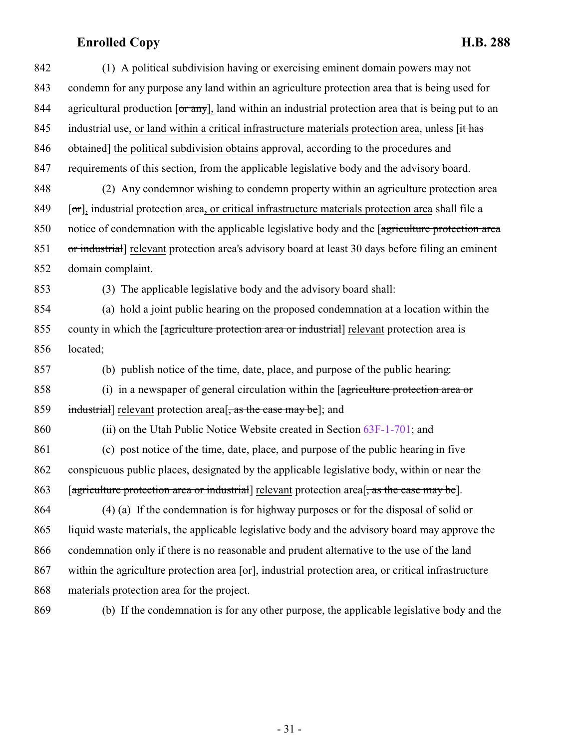| 842 | (1) A political subdivision having or exercising eminent domain powers may not                               |
|-----|--------------------------------------------------------------------------------------------------------------|
| 843 | condemn for any purpose any land within an agriculture protection area that is being used for                |
| 844 | agricultural production [or any], land within an industrial protection area that is being put to an          |
| 845 | industrial use, or land within a critical infrastructure materials protection area, unless [it has           |
| 846 | obtained] the political subdivision obtains approval, according to the procedures and                        |
| 847 | requirements of this section, from the applicable legislative body and the advisory board.                   |
| 848 | (2) Any condemnor wishing to condemn property within an agriculture protection area                          |
| 849 | [or], industrial protection area, or critical infrastructure materials protection area shall file a          |
| 850 | notice of condemnation with the applicable legislative body and the [agriculture protection area             |
| 851 | or industrial] relevant protection area's advisory board at least 30 days before filing an eminent           |
| 852 | domain complaint.                                                                                            |
| 853 | (3) The applicable legislative body and the advisory board shall:                                            |
| 854 | (a) hold a joint public hearing on the proposed condemnation at a location within the                        |
| 855 | county in which the <i>agriculture</i> protection area or industrial relevant protection area is             |
| 856 | located;                                                                                                     |
| 857 | (b) publish notice of the time, date, place, and purpose of the public hearing:                              |
| 858 | (i) in a newspaper of general circulation within the $\sqrt{q}$ are protection area or                       |
| 859 | industrial] relevant protection area <sup>[</sup> , as the case may be]; and                                 |
| 860 | (ii) on the Utah Public Notice Website created in Section 63F-1-701; and                                     |
| 861 | (c) post notice of the time, date, place, and purpose of the public hearing in five                          |
| 862 | conspicuous public places, designated by the applicable legislative body, within or near the                 |
| 863 | [agriculture protection area or industrial] relevant protection area <sup>[</sup> , as the case may be].     |
| 864 | $(4)$ (a) If the condemnation is for highway purposes or for the disposal of solid or                        |
| 865 | liquid waste materials, the applicable legislative body and the advisory board may approve the               |
| 866 | condemnation only if there is no reasonable and prudent alternative to the use of the land                   |
| 867 | within the agriculture protection area $[\sigma r]$ , industrial protection area, or critical infrastructure |
| 868 | materials protection area for the project.                                                                   |
| 869 | (b) If the condemnation is for any other purpose, the applicable legislative body and the                    |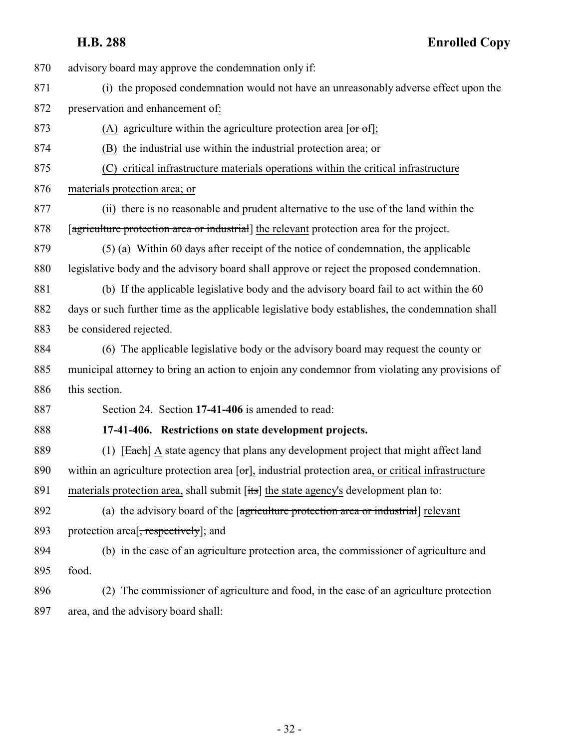advisory board may approve the condemnation only if:

- (i) the proposed condemnation would not have an unreasonably adverse effect upon the preservation and enhancement of:
- 873 (A) agriculture within the agriculture protection area  $\sigma$  [or  $\sigma$ f];
- (B) the industrial use within the industrial protection area; or
- (C) critical infrastructure materials operations within the critical infrastructure
- materials protection area; or
- (ii) there is no reasonable and prudent alternative to the use of the land within the 878 [agriculture protection area or industrial] the relevant protection area for the project.
- (5) (a) Within 60 days after receipt of the notice of condemnation, the applicable legislative body and the advisory board shall approve or reject the proposed condemnation.
- (b) If the applicable legislative body and the advisory board fail to act within the 60 days or such further time as the applicable legislative body establishes, the condemnation shall be considered rejected.
- (6) The applicable legislative body or the advisory board may request the county or municipal attorney to bring an action to enjoin any condemnor from violating any provisions of this section.

<span id="page-31-0"></span>Section 24. Section **17-41-406** is amended to read:

### **17-41-406. Restrictions on state development projects.**

- 889 (1) [Each] A state agency that plans any development project that might affect land 890 within an agriculture protection area  $[\sigma r]$ , industrial protection area, or critical infrastructure 891 materials protection area, shall submit [its] the state agency's development plan to:
- (a) the advisory board of the [agriculture protection area or industrial] relevant 893 protection area<sup>[</sup>, respectively]; and
- (b) in the case of an agriculture protection area, the commissioner of agriculture and food.
- (2) The commissioner of agriculture and food, in the case of an agriculture protection area, and the advisory board shall: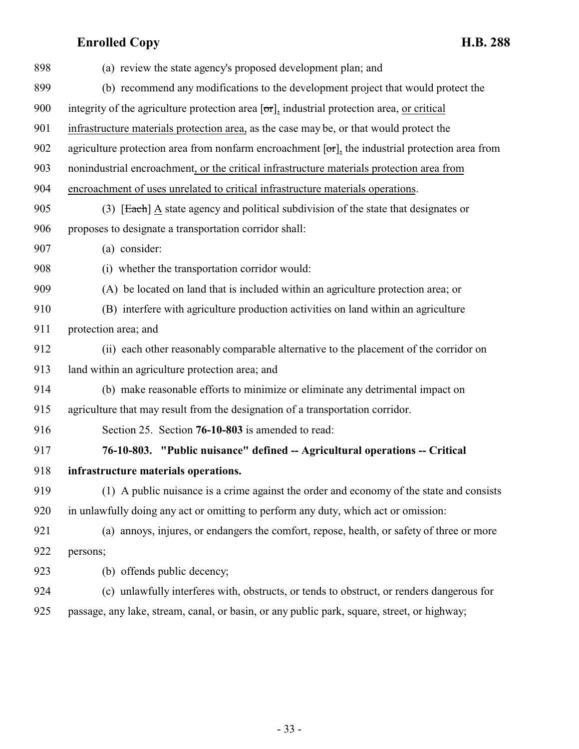<span id="page-32-0"></span>

| 898 | (a) review the state agency's proposed development plan; and                                             |
|-----|----------------------------------------------------------------------------------------------------------|
| 899 | (b) recommend any modifications to the development project that would protect the                        |
| 900 | integrity of the agriculture protection area [or], industrial protection area, or critical               |
| 901 | infrastructure materials protection area, as the case may be, or that would protect the                  |
| 902 | agriculture protection area from nonfarm encroachment $[\sigma r]$ , the industrial protection area from |
| 903 | nonindustrial encroachment, or the critical infrastructure materials protection area from                |
| 904 | encroachment of uses unrelated to critical infrastructure materials operations.                          |
| 905 | (3) [Each] $\underline{A}$ state agency and political subdivision of the state that designates or        |
| 906 | proposes to designate a transportation corridor shall:                                                   |
| 907 | (a) consider:                                                                                            |
| 908 | (i) whether the transportation corridor would:                                                           |
| 909 | (A) be located on land that is included within an agriculture protection area; or                        |
| 910 | (B) interfere with agriculture production activities on land within an agriculture                       |
| 911 | protection area; and                                                                                     |
| 912 | (ii) each other reasonably comparable alternative to the placement of the corridor on                    |
| 913 | land within an agriculture protection area; and                                                          |
| 914 | (b) make reasonable efforts to minimize or eliminate any detrimental impact on                           |
| 915 | agriculture that may result from the designation of a transportation corridor.                           |
| 916 | Section 25. Section 76-10-803 is amended to read:                                                        |
| 917 | 76-10-803. "Public nuisance" defined -- Agricultural operations -- Critical                              |
| 918 | infrastructure materials operations.                                                                     |
| 919 | (1) A public nuisance is a crime against the order and economy of the state and consists                 |
| 920 | in unlawfully doing any act or omitting to perform any duty, which act or omission:                      |
| 921 | (a) annoys, injures, or endangers the comfort, repose, health, or safety of three or more                |
| 922 | persons;                                                                                                 |
| 923 | (b) offends public decency;                                                                              |
| 924 | (c) unlawfully interferes with, obstructs, or tends to obstruct, or renders dangerous for                |
| 925 | passage, any lake, stream, canal, or basin, or any public park, square, street, or highway;              |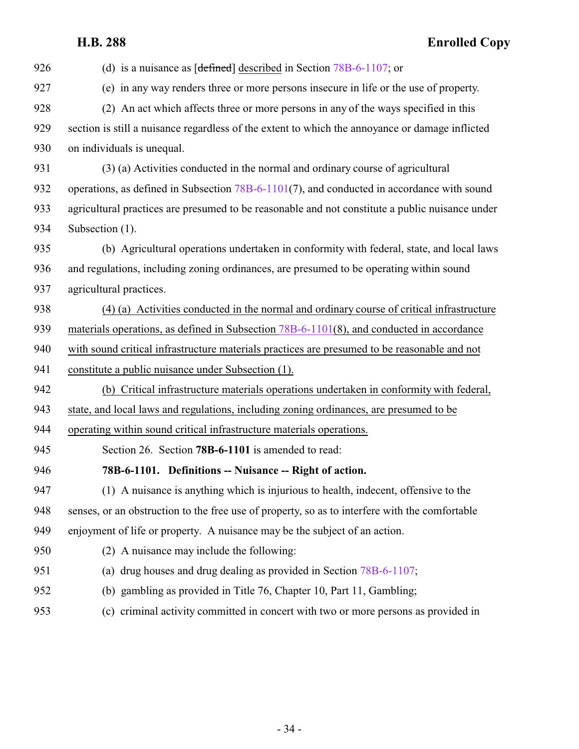## **Enrolled Copy**

<span id="page-33-0"></span>

| 926 | (d) is a nuisance as $[defined]$ described in Section 78B-6-1107; or                            |
|-----|-------------------------------------------------------------------------------------------------|
| 927 | (e) in any way renders three or more persons insecure in life or the use of property.           |
| 928 | (2) An act which affects three or more persons in any of the ways specified in this             |
| 929 | section is still a nuisance regardless of the extent to which the annoyance or damage inflicted |
| 930 | on individuals is unequal.                                                                      |
| 931 | (3) (a) Activities conducted in the normal and ordinary course of agricultural                  |
| 932 | operations, as defined in Subsection $78B-6-1101(7)$ , and conducted in accordance with sound   |
| 933 | agricultural practices are presumed to be reasonable and not constitute a public nuisance under |
| 934 | Subsection (1).                                                                                 |
| 935 | (b) Agricultural operations undertaken in conformity with federal, state, and local laws        |
| 936 | and regulations, including zoning ordinances, are presumed to be operating within sound         |
| 937 | agricultural practices.                                                                         |
| 938 | (4) (a) Activities conducted in the normal and ordinary course of critical infrastructure       |
| 939 | materials operations, as defined in Subsection $78B-6-1101(8)$ , and conducted in accordance    |
| 940 | with sound critical infrastructure materials practices are presumed to be reasonable and not    |
| 941 | constitute a public nuisance under Subsection (1).                                              |
| 942 | (b) Critical infrastructure materials operations undertaken in conformity with federal,         |
| 943 | state, and local laws and regulations, including zoning ordinances, are presumed to be          |
| 944 | operating within sound critical infrastructure materials operations.                            |
| 945 | Section 26. Section 78B-6-1101 is amended to read:                                              |
| 946 | 78B-6-1101. Definitions -- Nuisance -- Right of action.                                         |
| 947 | (1) A nuisance is anything which is injurious to health, indecent, offensive to the             |
| 948 | senses, or an obstruction to the free use of property, so as to interfere with the comfortable  |
| 949 | enjoyment of life or property. A nuisance may be the subject of an action.                      |
| 950 | (2) A nuisance may include the following:                                                       |
| 951 | (a) drug houses and drug dealing as provided in Section $78B-6-1107$ ;                          |
| 952 | (b) gambling as provided in Title 76, Chapter 10, Part 11, Gambling;                            |
| 953 | (c) criminal activity committed in concert with two or more persons as provided in              |
|     |                                                                                                 |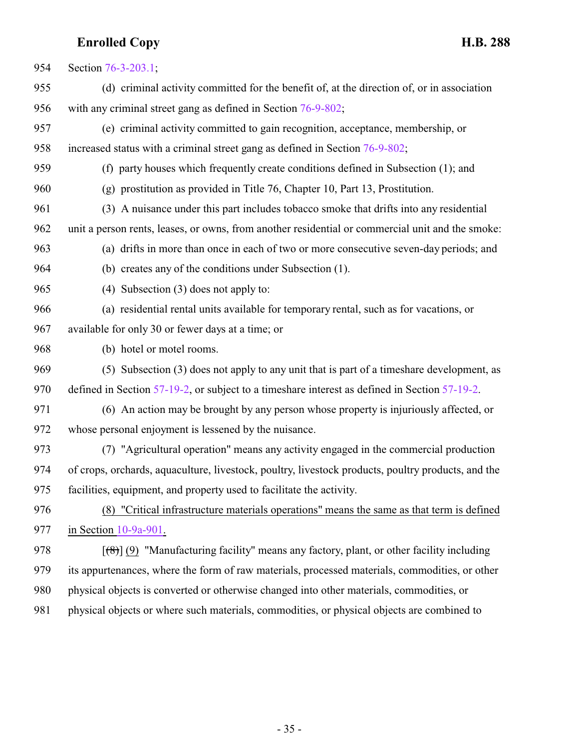| 954 | Section 76-3-203.1;                                                                                |
|-----|----------------------------------------------------------------------------------------------------|
| 955 | (d) criminal activity committed for the benefit of, at the direction of, or in association         |
| 956 | with any criminal street gang as defined in Section 76-9-802;                                      |
| 957 | (e) criminal activity committed to gain recognition, acceptance, membership, or                    |
| 958 | increased status with a criminal street gang as defined in Section 76-9-802;                       |
| 959 | (f) party houses which frequently create conditions defined in Subsection (1); and                 |
| 960 | $(g)$ prostitution as provided in Title 76, Chapter 10, Part 13, Prostitution.                     |
| 961 | (3) A nuisance under this part includes tobacco smoke that drifts into any residential             |
| 962 | unit a person rents, leases, or owns, from another residential or commercial unit and the smoke:   |
| 963 | (a) drifts in more than once in each of two or more consecutive seven-day periods; and             |
| 964 | (b) creates any of the conditions under Subsection (1).                                            |
| 965 | Subsection (3) does not apply to:<br>(4)                                                           |
| 966 | (a) residential rental units available for temporary rental, such as for vacations, or             |
| 967 | available for only 30 or fewer days at a time; or                                                  |
| 968 | (b) hotel or motel rooms.                                                                          |
| 969 | (5) Subsection (3) does not apply to any unit that is part of a timeshare development, as          |
| 970 | defined in Section 57-19-2, or subject to a timeshare interest as defined in Section 57-19-2.      |
| 971 | (6) An action may be brought by any person whose property is injuriously affected, or              |
| 972 | whose personal enjoyment is lessened by the nuisance.                                              |
| 973 | (7) "Agricultural operation" means any activity engaged in the commercial production               |
| 974 | of crops, orchards, aquaculture, livestock, poultry, livestock products, poultry products, and the |
| 975 | facilities, equipment, and property used to facilitate the activity.                               |
| 976 | (8) "Critical infrastructure materials operations" means the same as that term is defined          |
| 977 | in Section $10-9a-901$ .                                                                           |
| 978 | $[$ (8)] (9) "Manufacturing facility" means any factory, plant, or other facility including        |
| 979 | its appurtenances, where the form of raw materials, processed materials, commodities, or other     |
| 980 | physical objects is converted or otherwise changed into other materials, commodities, or           |
|     |                                                                                                    |

981 physical objects or where such materials, commodities, or physical objects are combined to